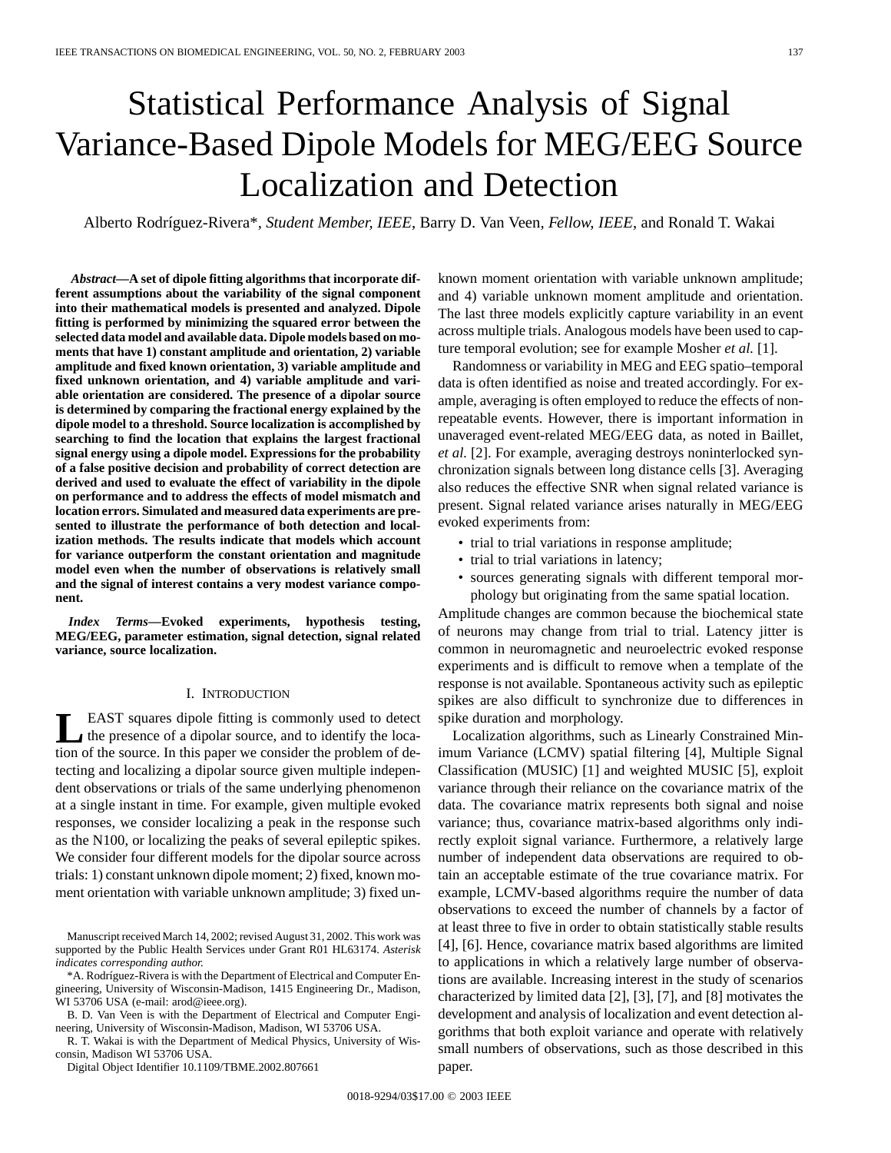# Statistical Performance Analysis of Signal Variance-Based Dipole Models for MEG/EEG Source Localization and Detection

Alberto Rodríguez-Rivera\**, Student Member, IEEE*, Barry D. Van Veen*, Fellow, IEEE*, and Ronald T. Wakai

*Abstract—***A set of dipole fitting algorithms that incorporate different assumptions about the variability of the signal component into their mathematical models is presented and analyzed. Dipole fitting is performed by minimizing the squared error between the selected data model and available data. Dipole models based on moments that have 1) constant amplitude and orientation, 2) variable amplitude and fixed known orientation, 3) variable amplitude and fixed unknown orientation, and 4) variable amplitude and variable orientation are considered. The presence of a dipolar source is determined by comparing the fractional energy explained by the dipole model to a threshold. Source localization is accomplished by searching to find the location that explains the largest fractional signal energy using a dipole model. Expressions for the probability of a false positive decision and probability of correct detection are derived and used to evaluate the effect of variability in the dipole on performance and to address the effects of model mismatch and location errors. Simulated and measured data experiments are presented to illustrate the performance of both detection and localization methods. The results indicate that models which account for variance outperform the constant orientation and magnitude model even when the number of observations is relatively small and the signal of interest contains a very modest variance component.**

*Index Terms—***Evoked experiments, hypothesis testing, MEG/EEG, parameter estimation, signal detection, signal related variance, source localization.**

## I. INTRODUCTION

**LEAST** squares dipole fitting is commonly used to detect<br>the presence of a dipolar source, and to identify the loca-<br>tion of the source. In this presence some identity the presence of the tion of the source. In this paper we consider the problem of detecting and localizing a dipolar source given multiple independent observations or trials of the same underlying phenomenon at a single instant in time. For example, given multiple evoked responses, we consider localizing a peak in the response such as the N100, or localizing the peaks of several epileptic spikes. We consider four different models for the dipolar source across trials: 1) constant unknown dipole moment; 2) fixed, known moment orientation with variable unknown amplitude; 3) fixed un-

Manuscript received March 14, 2002; revised August 31, 2002. This work was supported by the Public Health Services under Grant R01 HL63174. *Asterisk indicates corresponding author.*

\*A. Rodríguez-Rivera is with the Department of Electrical and Computer Engineering, University of Wisconsin-Madison, 1415 Engineering Dr., Madison, WI 53706 USA (e-mail: arod@ieee.org).

B. D. Van Veen is with the Department of Electrical and Computer Engineering, University of Wisconsin-Madison, Madison, WI 53706 USA.

R. T. Wakai is with the Department of Medical Physics, University of Wisconsin, Madison WI 53706 USA.

Digital Object Identifier 10.1109/TBME.2002.807661

known moment orientation with variable unknown amplitude; and 4) variable unknown moment amplitude and orientation. The last three models explicitly capture variability in an event across multiple trials. Analogous models have been used to capture temporal evolution; see for example Mosher *et al.* [1].

Randomness or variability in MEG and EEG spatio–temporal data is often identified as noise and treated accordingly. For example, averaging is often employed to reduce the effects of nonrepeatable events. However, there is important information in unaveraged event-related MEG/EEG data, as noted in Baillet, *et al.* [2]. For example, averaging destroys noninterlocked synchronization signals between long distance cells [3]. Averaging also reduces the effective SNR when signal related variance is present. Signal related variance arises naturally in MEG/EEG evoked experiments from:

- trial to trial variations in response amplitude;
- trial to trial variations in latency;
- sources generating signals with different temporal morphology but originating from the same spatial location.

Amplitude changes are common because the biochemical state of neurons may change from trial to trial. Latency jitter is common in neuromagnetic and neuroelectric evoked response experiments and is difficult to remove when a template of the response is not available. Spontaneous activity such as epileptic spikes are also difficult to synchronize due to differences in spike duration and morphology.

Localization algorithms, such as Linearly Constrained Minimum Variance (LCMV) spatial filtering [4], Multiple Signal Classification (MUSIC) [1] and weighted MUSIC [5], exploit variance through their reliance on the covariance matrix of the data. The covariance matrix represents both signal and noise variance; thus, covariance matrix-based algorithms only indirectly exploit signal variance. Furthermore, a relatively large number of independent data observations are required to obtain an acceptable estimate of the true covariance matrix. For example, LCMV-based algorithms require the number of data observations to exceed the number of channels by a factor of at least three to five in order to obtain statistically stable results [4], [6]. Hence, covariance matrix based algorithms are limited to applications in which a relatively large number of observations are available. Increasing interest in the study of scenarios characterized by limited data [2], [3], [7], and [8] motivates the development and analysis of localization and event detection algorithms that both exploit variance and operate with relatively small numbers of observations, such as those described in this paper.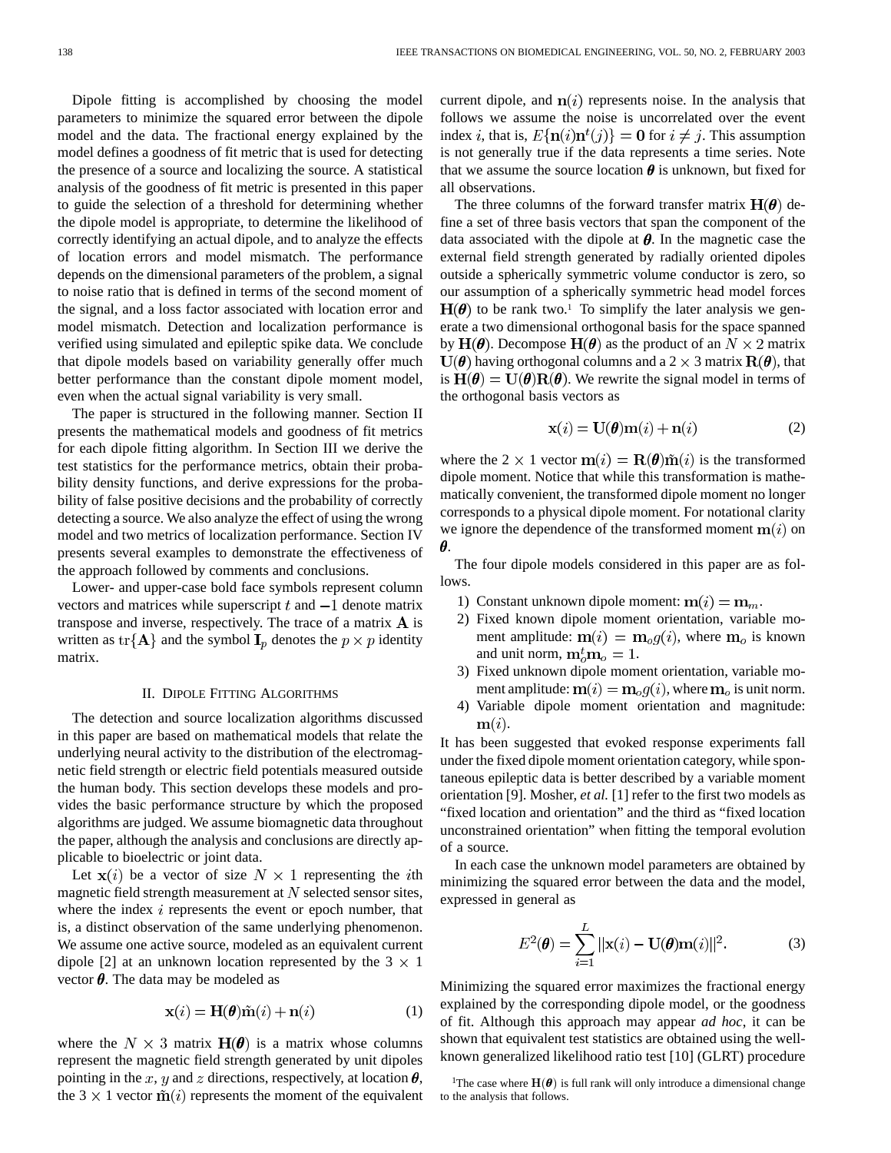Dipole fitting is accomplished by choosing the model parameters to minimize the squared error between the dipole model and the data. The fractional energy explained by the model defines a goodness of fit metric that is used for detecting the presence of a source and localizing the source. A statistical analysis of the goodness of fit metric is presented in this paper to guide the selection of a threshold for determining whether the dipole model is appropriate, to determine the likelihood of correctly identifying an actual dipole, and to analyze the effects of location errors and model mismatch. The performance depends on the dimensional parameters of the problem, a signal to noise ratio that is defined in terms of the second moment of the signal, and a loss factor associated with location error and model mismatch. Detection and localization performance is verified using simulated and epileptic spike data. We conclude that dipole models based on variability generally offer much better performance than the constant dipole moment model, even when the actual signal variability is very small.

The paper is structured in the following manner. Section II presents the mathematical models and goodness of fit metrics for each dipole fitting algorithm. In Section III we derive the test statistics for the performance metrics, obtain their probability density functions, and derive expressions for the probability of false positive decisions and the probability of correctly detecting a source. We also analyze the effect of using the wrong model and two metrics of localization performance. Section IV presents several examples to demonstrate the effectiveness of the approach followed by comments and conclusions.

Lower- and upper-case bold face symbols represent column vectors and matrices while superscript  $t$  and  $-1$  denote matrix transpose and inverse, respectively. The trace of a matrix  $A$  is written as  $\text{tr}\{\mathbf{A}\}\$ and the symbol  $\mathbf{I}_p$  denotes the  $p \times p$  identity matrix.

## II. DIPOLE FITTING ALGORITHMS

The detection and source localization algorithms discussed in this paper are based on mathematical models that relate the underlying neural activity to the distribution of the electromagnetic field strength or electric field potentials measured outside the human body. This section develops these models and provides the basic performance structure by which the proposed algorithms are judged. We assume biomagnetic data throughout the paper, although the analysis and conclusions are directly applicable to bioelectric or joint data.

Let  $\mathbf{x}(i)$  be a vector of size  $N \times 1$  representing the *i*th magnetic field strength measurement at  $N$  selected sensor sites, where the index  $i$  represents the event or epoch number, that is, a distinct observation of the same underlying phenomenon. We assume one active source, modeled as an equivalent current dipole [2] at an unknown location represented by the  $3 \times 1$ vector  $\theta$ . The data may be modeled as

$$
\mathbf{x}(i) = \mathbf{H}(\boldsymbol{\theta})\tilde{\mathbf{m}}(i) + \mathbf{n}(i)
$$
 (1)

where the  $N \times 3$  matrix  $H(\theta)$  is a matrix whose columns represent the magnetic field strength generated by unit dipoles pointing in the x, y and z directions, respectively, at location  $\theta$ , the 3  $\times$  1 vector  $\tilde{\mathbf{m}}(i)$  represents the moment of the equivalent current dipole, and  $\mathbf{n}(i)$  represents noise. In the analysis that follows we assume the noise is uncorrelated over the event index *i*, that is,  $E{\bf n}(i){\bf n}^t(j)$  = 0 for  $i \neq j$ . This assumption is not generally true if the data represents a time series. Note that we assume the source location  $\theta$  is unknown, but fixed for all observations.

The three columns of the forward transfer matrix  $H(\theta)$  define a set of three basis vectors that span the component of the data associated with the dipole at  $\theta$ . In the magnetic case the external field strength generated by radially oriented dipoles outside a spherically symmetric volume conductor is zero, so our assumption of a spherically symmetric head model forces  $H(\theta)$  to be rank two.<sup>1</sup> To simplify the later analysis we generate a two dimensional orthogonal basis for the space spanned by  $H(\theta)$ . Decompose  $H(\theta)$  as the product of an  $N \times 2$  matrix  $U(\theta)$  having orthogonal columns and a 2  $\times$  3 matrix  $R(\theta)$ , that is  $H(\theta) = U(\theta)R(\theta)$ . We rewrite the signal model in terms of the orthogonal basis vectors as

$$
\mathbf{x}(i) = \mathbf{U}(\boldsymbol{\theta})\mathbf{m}(i) + \mathbf{n}(i) \tag{2}
$$

where the 2  $\times$  1 vector  $\mathbf{m}(i) = \mathbf{R}(\boldsymbol{\theta})\tilde{\mathbf{m}}(i)$  is the transformed dipole moment. Notice that while this transformation is mathematically convenient, the transformed dipole moment no longer corresponds to a physical dipole moment. For notational clarity we ignore the dependence of the transformed moment  $\mathbf{m}(i)$  on  $\theta$ .

The four dipole models considered in this paper are as follows.

- 1) Constant unknown dipole moment:  $m(i) = m_m$ .
- 2) Fixed known dipole moment orientation, variable moment amplitude:  $m(i) = m_o g(i)$ , where  $m_o$  is known and unit norm,  $\mathbf{m}_o^t \mathbf{m}_o = 1$ .
- 3) Fixed unknown dipole moment orientation, variable moment amplitude:  $\mathbf{m}(i) = \mathbf{m}_o g(i)$ , where  $\mathbf{m}_o$  is unit norm.
- 4) Variable dipole moment orientation and magnitude:  $m(i)$ .

It has been suggested that evoked response experiments fall under the fixed dipole moment orientation category, while spontaneous epileptic data is better described by a variable moment orientation [9]. Mosher, *et al.* [1] refer to the first two models as "fixed location and orientation" and the third as "fixed location unconstrained orientation" when fitting the temporal evolution of a source.

In each case the unknown model parameters are obtained by minimizing the squared error between the data and the model, expressed in general as

$$
E^{2}(\boldsymbol{\theta}) = \sum_{i=1}^{L} ||\mathbf{x}(i) - \mathbf{U}(\boldsymbol{\theta})\mathbf{m}(i)||^{2}.
$$
 (3)

Minimizing the squared error maximizes the fractional energy explained by the corresponding dipole model, or the goodness of fit. Although this approach may appear *ad hoc*, it can be shown that equivalent test statistics are obtained using the wellknown generalized likelihood ratio test [10] (GLRT) procedure

<sup>&</sup>lt;sup>1</sup>The case where  $H(\theta)$  is full rank will only introduce a dimensional change to the analysis that follows.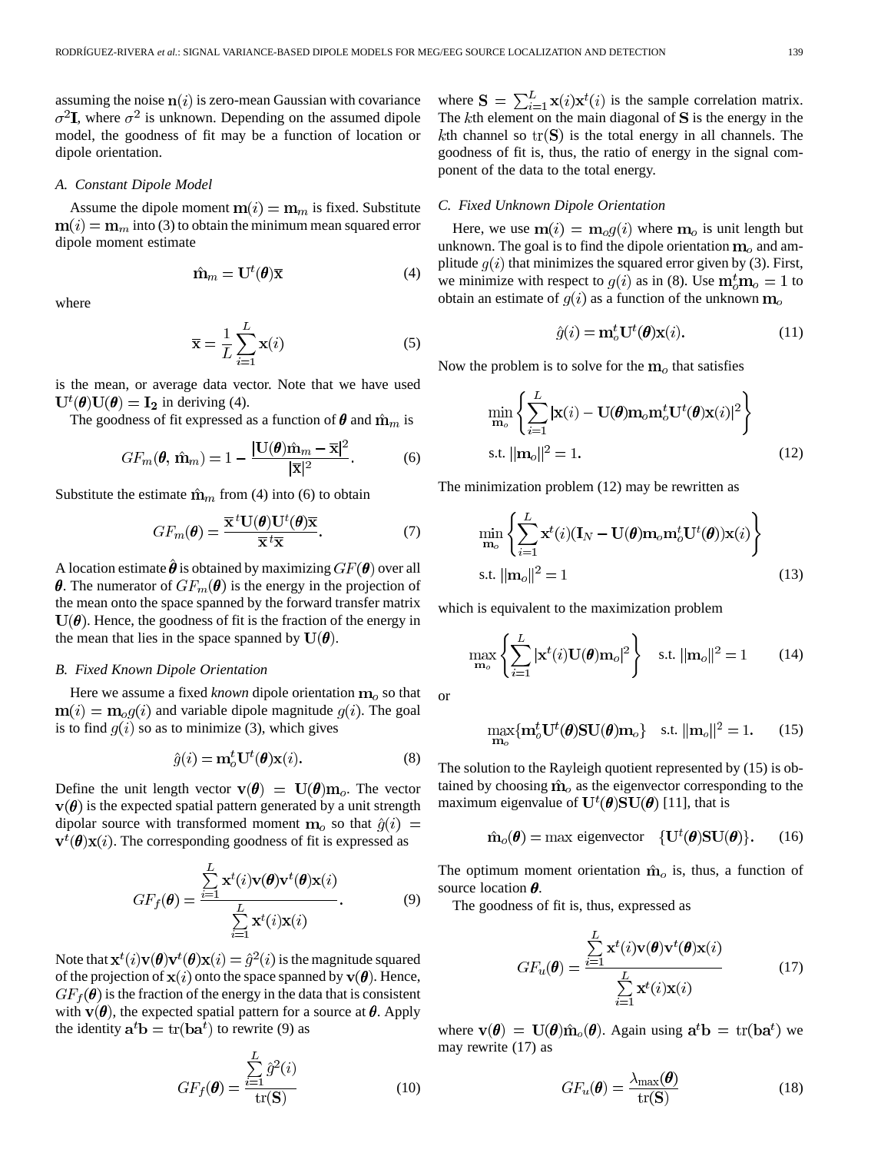assuming the noise  $n(i)$  is zero-mean Gaussian with covariance  $\sigma^2$ **I**, where  $\sigma^2$  is unknown. Depending on the assumed dipole model, the goodness of fit may be a function of location or dipole orientation.

## *A. Constant Dipole Model*

Assume the dipole moment  $\mathbf{m}(i) = \mathbf{m}_m$  is fixed. Substitute  $\mathbf{m}(i) = \mathbf{m}_m$  into (3) to obtain the minimum mean squared error dipole moment estimate

$$
\hat{\mathbf{m}}_m = \mathbf{U}^t(\boldsymbol{\theta}) \overline{\mathbf{x}} \tag{4}
$$

where

$$
\overline{\mathbf{x}} = \frac{1}{L} \sum_{i=1}^{L} \mathbf{x}(i)
$$
 (5)

is the mean, or average data vector. Note that we have used  $\mathbf{U}^{t}(\boldsymbol{\theta})\mathbf{U}(\boldsymbol{\theta})=\mathbf{I}_{2}$  in deriving (4).

The goodness of fit expressed as a function of  $\theta$  and  $\hat{m}_m$  is

$$
GF_m(\theta, \hat{\mathbf{m}}_m) = 1 - \frac{|\mathbf{U}(\theta)\hat{\mathbf{m}}_m - \overline{\mathbf{x}}|^2}{|\overline{\mathbf{x}}|^2}.
$$
 (6)

Substitute the estimate  $\hat{\mathbf{m}}_m$  from (4) into (6) to obtain

$$
GF_m(\boldsymbol{\theta}) = \frac{\overline{\mathbf{x}}^t \mathbf{U}(\boldsymbol{\theta}) \mathbf{U}^t(\boldsymbol{\theta}) \overline{\mathbf{x}}}{\overline{\mathbf{x}}^t \overline{\mathbf{x}}}.
$$
 (7)

A location estimate  $\hat{\theta}$  is obtained by maximizing  $GF(\theta)$  over all  $\theta$ . The numerator of  $GF_m(\theta)$  is the energy in the projection of the mean onto the space spanned by the forward transfer matrix  $U(\theta)$ . Hence, the goodness of fit is the fraction of the energy in the mean that lies in the space spanned by  $U(\theta)$ .

## *B. Fixed Known Dipole Orientation*

Here we assume a fixed *known* dipole orientation  $\mathbf{m}_o$  so that  $m(i) = m_o g(i)$  and variable dipole magnitude  $g(i)$ . The goal is to find  $g(i)$  so as to minimize (3), which gives

$$
\hat{g}(i) = \mathbf{m}_o^t \mathbf{U}^t(\boldsymbol{\theta}) \mathbf{x}(i). \tag{8}
$$

Define the unit length vector  $\mathbf{v}(\boldsymbol{\theta}) = \mathbf{U}(\boldsymbol{\theta})\mathbf{m}_o$ . The vector  $\mathbf{v}(\boldsymbol{\theta})$  is the expected spatial pattern generated by a unit strength dipolar source with transformed moment  $\mathbf{m}_o$  so that  $\hat{g}(i)$  =  $\mathbf{v}^{t}(\boldsymbol{\theta})\mathbf{x}(i)$ . The corresponding goodness of fit is expressed as

$$
GF_f(\boldsymbol{\theta}) = \frac{\sum_{i=1}^{L} \mathbf{x}^t(i) \mathbf{v}(\boldsymbol{\theta}) \mathbf{v}^t(\boldsymbol{\theta}) \mathbf{x}(i)}{\sum_{i=1}^{L} \mathbf{x}^t(i) \mathbf{x}(i)}.
$$
(9)

Note that  $\mathbf{x}^{t}(i)\mathbf{v}(\boldsymbol{\theta})\mathbf{v}^{t}(\boldsymbol{\theta})\mathbf{x}(i) = \hat{g}^{2}(i)$  is the magnitude squared of the projection of  $x(i)$  onto the space spanned by  $v(\theta)$ . Hence,  $GF_f(\theta)$  is the fraction of the energy in the data that is consistent with  $\mathbf{v}(\boldsymbol{\theta})$ , the expected spatial pattern for a source at  $\boldsymbol{\theta}$ . Apply the identity  $\mathbf{a}^t \mathbf{b} = \text{tr}(\mathbf{b} \mathbf{a}^t)$  to rewrite (9) as

$$
GF_f(\theta) = \frac{\sum_{i=1}^{L} \hat{g}^2(i)}{\text{tr}(\mathbf{S})}
$$
(10)

where  $\mathbf{S} = \sum_{i=1}^{L} \mathbf{x}(i)\mathbf{x}^{t}(i)$  is the sample correlation matrix. The  $k$ th element on the main diagonal of S is the energy in the kth channel so  $tr(S)$  is the total energy in all channels. The goodness of fit is, thus, the ratio of energy in the signal component of the data to the total energy.

#### *C. Fixed Unknown Dipole Orientation*

Here, we use  $m(i) = m_o g(i)$  where  $m_o$  is unit length but unknown. The goal is to find the dipole orientation  $m<sub>o</sub>$  and amplitude  $g(i)$  that minimizes the squared error given by (3). First, we minimize with respect to  $g(i)$  as in (8). Use  $\mathbf{m}_o^t \mathbf{m}_o = 1$  to obtain an estimate of  $q(i)$  as a function of the unknown  $m_0$ 

$$
\hat{g}(i) = \mathbf{m}_o^t \mathbf{U}^t(\boldsymbol{\theta}) \mathbf{x}(i). \tag{11}
$$

Now the problem is to solve for the  $\mathbf{m}_o$  that satisfies

$$
\min_{\mathbf{m}_o} \left\{ \sum_{i=1}^{L} |\mathbf{x}(i) - \mathbf{U}(\boldsymbol{\theta}) \mathbf{m}_o \mathbf{m}_o^t \mathbf{U}^t(\boldsymbol{\theta}) \mathbf{x}(i)|^2 \right\}
$$
  
s.t.  $||\mathbf{m}_o||^2 = 1.$  (12)

The minimization problem (12) may be rewritten as

$$
\min_{\mathbf{m}_o} \left\{ \sum_{i=1}^{L} \mathbf{x}^t(i) (\mathbf{I}_N - \mathbf{U}(\boldsymbol{\theta}) \mathbf{m}_o \mathbf{m}_o^t \mathbf{U}^t(\boldsymbol{\theta})) \mathbf{x}(i) \right\}
$$
\ns.t.  $||\mathbf{m}_o||^2 = 1$  (13)

which is equivalent to the maximization problem

$$
\max_{\mathbf{m}_o} \left\{ \sum_{i=1}^L |\mathbf{x}^t(i)\mathbf{U}(\boldsymbol{\theta})\mathbf{m}_o|^2 \right\} \quad \text{s.t. } ||\mathbf{m}_o||^2 = 1 \quad (14)
$$

or

$$
\max_{\mathbf{m}_o} \{ \mathbf{m}_o^t \mathbf{U}^t(\boldsymbol{\theta}) \mathbf{S} \mathbf{U}(\boldsymbol{\theta}) \mathbf{m}_o \} \quad \text{s.t. } ||\mathbf{m}_o||^2 = 1. \tag{15}
$$

The solution to the Rayleigh quotient represented by (15) is obtained by choosing  $\hat{m}_o$  as the eigenvector corresponding to the maximum eigenvalue of  $\mathbf{U}^{t}(\boldsymbol{\theta})\mathbf{S}\mathbf{U}(\boldsymbol{\theta})$  [11], that is

$$
\hat{\mathbf{m}}_o(\boldsymbol{\theta}) = \text{max eigenvector} \quad \{\mathbf{U}^t(\boldsymbol{\theta}) \mathbf{S} \mathbf{U}(\boldsymbol{\theta})\}. \qquad (16)
$$

The optimum moment orientation  $\hat{\mathbf{m}}_o$  is, thus, a function of source location  $\theta$ .

The goodness of fit is, thus, expressed as

$$
GF_u(\boldsymbol{\theta}) = \frac{\sum_{i=1}^{L} \mathbf{x}^t(i) \mathbf{v}(\boldsymbol{\theta}) \mathbf{v}^t(\boldsymbol{\theta}) \mathbf{x}(i)}{\sum_{i=1}^{L} \mathbf{x}^t(i) \mathbf{x}(i)}
$$
(17)

where  $\mathbf{v}(\boldsymbol{\theta}) = \mathbf{U}(\boldsymbol{\theta})\hat{\mathbf{m}}_o(\boldsymbol{\theta})$ . Again using  $\mathbf{a}^t \mathbf{b} = \text{tr}(\mathbf{b} \mathbf{a}^t)$  we may rewrite (17) as

$$
GF_u(\boldsymbol{\theta}) = \frac{\lambda_{\max}(\boldsymbol{\theta})}{\text{tr}(\mathbf{S})}
$$
(18)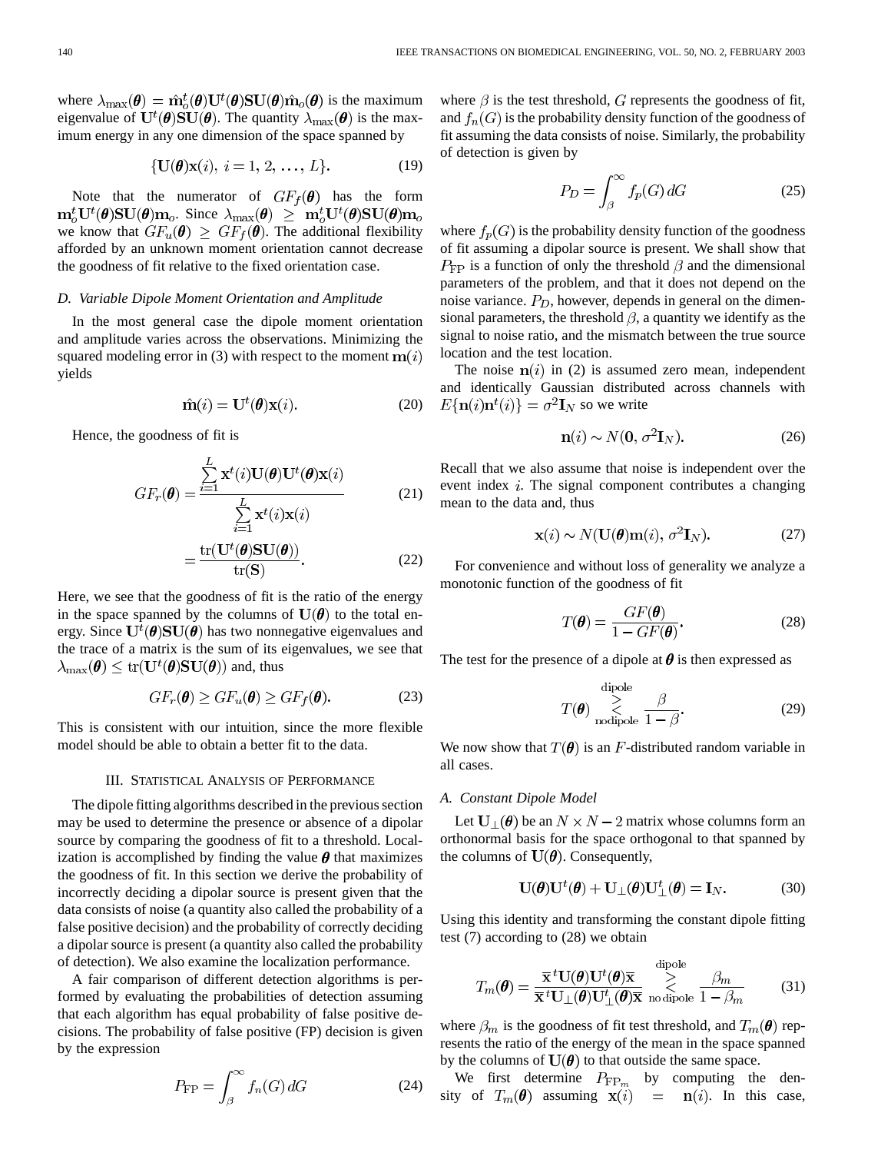where  $\lambda_{\text{max}}(\theta) = \hat{m}_o^t(\theta)U^t(\theta)SU(\theta)\hat{m}_o(\theta)$  is the maximum eigenvalue of  $\mathbf{U}^{t}(\boldsymbol{\theta})\mathbf{S}\mathbf{U}(\boldsymbol{\theta})$ . The quantity  $\lambda_{\max}(\boldsymbol{\theta})$  is the maximum energy in any one dimension of the space spanned by

$$
\{U(\theta)x(i), i = 1, 2, ..., L\}.
$$
 (19)

Note that the numerator of  $GF_f(\theta)$  has the form  $\mathbf{m}_o^t\mathbf{U}^t(\pmb{\theta})\mathbf{S}\mathbf{U}(\pmb{\theta})\mathbf{m}_o.$  Since  $\lambda_{\max}(\pmb{\theta}) \geq \mathbf{m}_o^t\mathbf{U}^t(\pmb{\theta})\mathbf{S}\mathbf{U}(\pmb{\theta})\mathbf{m}_o$ we know that  $GF_u(\theta) \geq GF_f(\theta)$ . The additional flexibility afforded by an unknown moment orientation cannot decrease the goodness of fit relative to the fixed orientation case.

#### *D. Variable Dipole Moment Orientation and Amplitude*

In the most general case the dipole moment orientation and amplitude varies across the observations. Minimizing the squared modeling error in (3) with respect to the moment  $m(i)$ yields

$$
\hat{\mathbf{m}}(i) = \mathbf{U}^t(\boldsymbol{\theta}) \mathbf{x}(i). \tag{20}
$$

Hence, the goodness of fit is

$$
GF_r(\boldsymbol{\theta}) = \frac{\sum_{i=1}^{L} \mathbf{x}^t(i) \mathbf{U}(\boldsymbol{\theta}) \mathbf{U}^t(\boldsymbol{\theta}) \mathbf{x}(i)}{\sum_{i=1}^{L} \mathbf{x}^t(i) \mathbf{x}(i)}
$$
(21)

$$
=\frac{\text{tr}(\mathbf{U}^t(\boldsymbol{\theta})\mathbf{SU}(\boldsymbol{\theta}))}{\text{tr}(\mathbf{S})}.
$$
 (22)

Here, we see that the goodness of fit is the ratio of the energy in the space spanned by the columns of  $U(\theta)$  to the total energy. Since  $U^t(\theta)SU(\theta)$  has two nonnegative eigenvalues and the trace of a matrix is the sum of its eigenvalues, we see that  $\lambda_{\max}(\boldsymbol{\theta}) \leq \text{tr}(\mathbf{U}^t(\boldsymbol{\theta}) \mathbf{S} \mathbf{U}(\boldsymbol{\theta}))$  and, thus

$$
GF_r(\theta) \geq GF_u(\theta) \geq GF_f(\theta). \tag{23}
$$

This is consistent with our intuition, since the more flexible model should be able to obtain a better fit to the data.

### III. STATISTICAL ANALYSIS OF PERFORMANCE

The dipole fitting algorithms described in the previous section may be used to determine the presence or absence of a dipolar source by comparing the goodness of fit to a threshold. Localization is accomplished by finding the value  $\theta$  that maximizes the goodness of fit. In this section we derive the probability of incorrectly deciding a dipolar source is present given that the data consists of noise (a quantity also called the probability of a false positive decision) and the probability of correctly deciding a dipolar source is present (a quantity also called the probability of detection). We also examine the localization performance.

A fair comparison of different detection algorithms is performed by evaluating the probabilities of detection assuming that each algorithm has equal probability of false positive decisions. The probability of false positive (FP) decision is given by the expression

$$
P_{\rm FP} = \int_{\beta}^{\infty} f_n(G) dG \tag{24}
$$

where  $\beta$  is the test threshold, G represents the goodness of fit, and  $f_n(G)$  is the probability density function of the goodness of fit assuming the data consists of noise. Similarly, the probability of detection is given by

$$
P_D = \int_{\beta}^{\infty} f_p(G) dG \tag{25}
$$

where  $f_p(G)$  is the probability density function of the goodness of fit assuming a dipolar source is present. We shall show that  $P_{\text{FP}}$  is a function of only the threshold  $\beta$  and the dimensional parameters of the problem, and that it does not depend on the noise variance.  $P_D$ , however, depends in general on the dimensional parameters, the threshold  $\beta$ , a quantity we identify as the signal to noise ratio, and the mismatch between the true source location and the test location.

The noise  $n(i)$  in (2) is assumed zero mean, independent and identically Gaussian distributed across channels with  $E\{\mathbf{n}(i)\mathbf{n}^t(i)\} = \sigma^2 \mathbf{I}_N$  so we write

$$
\mathbf{n}(i) \sim N(\mathbf{0}, \sigma^2 \mathbf{I}_N). \tag{26}
$$

Recall that we also assume that noise is independent over the event index  $i$ . The signal component contributes a changing mean to the data and, thus

$$
\mathbf{x}(i) \sim N(\mathbf{U}(\boldsymbol{\theta})\mathbf{m}(i), \sigma^2 \mathbf{I}_N). \tag{27}
$$

For convenience and without loss of generality we analyze a monotonic function of the goodness of fit

$$
T(\theta) = \frac{GF(\theta)}{1 - GF(\theta)}.
$$
 (28)

The test for the presence of a dipole at  $\theta$  is then expressed as

$$
T(\theta) \sum_{\text{nodipole}}^{\text{dipole}} \frac{\beta}{1 - \beta}.
$$
 (29)

We now show that  $T(\theta)$  is an F-distributed random variable in all cases.

#### *A. Constant Dipole Model*

Let  $U_{\perp}(\theta)$  be an  $N \times N - 2$  matrix whose columns form an orthonormal basis for the space orthogonal to that spanned by the columns of  $U(\theta)$ . Consequently,

$$
\mathbf{U}(\boldsymbol{\theta})\mathbf{U}^t(\boldsymbol{\theta}) + \mathbf{U}_{\perp}(\boldsymbol{\theta})\mathbf{U}_{\perp}^t(\boldsymbol{\theta}) = \mathbf{I}_N. \tag{30}
$$

Using this identity and transforming the constant dipole fitting test (7) according to (28) we obtain

$$
T_m(\boldsymbol{\theta}) = \frac{\overline{\mathbf{x}}^t \mathbf{U}(\boldsymbol{\theta}) \mathbf{U}^t(\boldsymbol{\theta}) \overline{\mathbf{x}}}{\overline{\mathbf{x}}^t \mathbf{U}_{\perp}(\boldsymbol{\theta}) \mathbf{U}_{\perp}^t(\boldsymbol{\theta}) \overline{\mathbf{x}}}\n \overset{\text{dipole}}{\geq} \frac{\beta_m}{1 - \beta_m}
$$
 (31)

where  $\beta_m$  is the goodness of fit test threshold, and  $T_m(\theta)$  represents the ratio of the energy of the mean in the space spanned by the columns of  $U(\theta)$  to that outside the same space.

We first determine  $P_{\text{FP}_m}$  by computing the density of  $T_m(\theta)$  assuming  $\mathbf{x}(i) = \mathbf{n}(i)$ . In this case,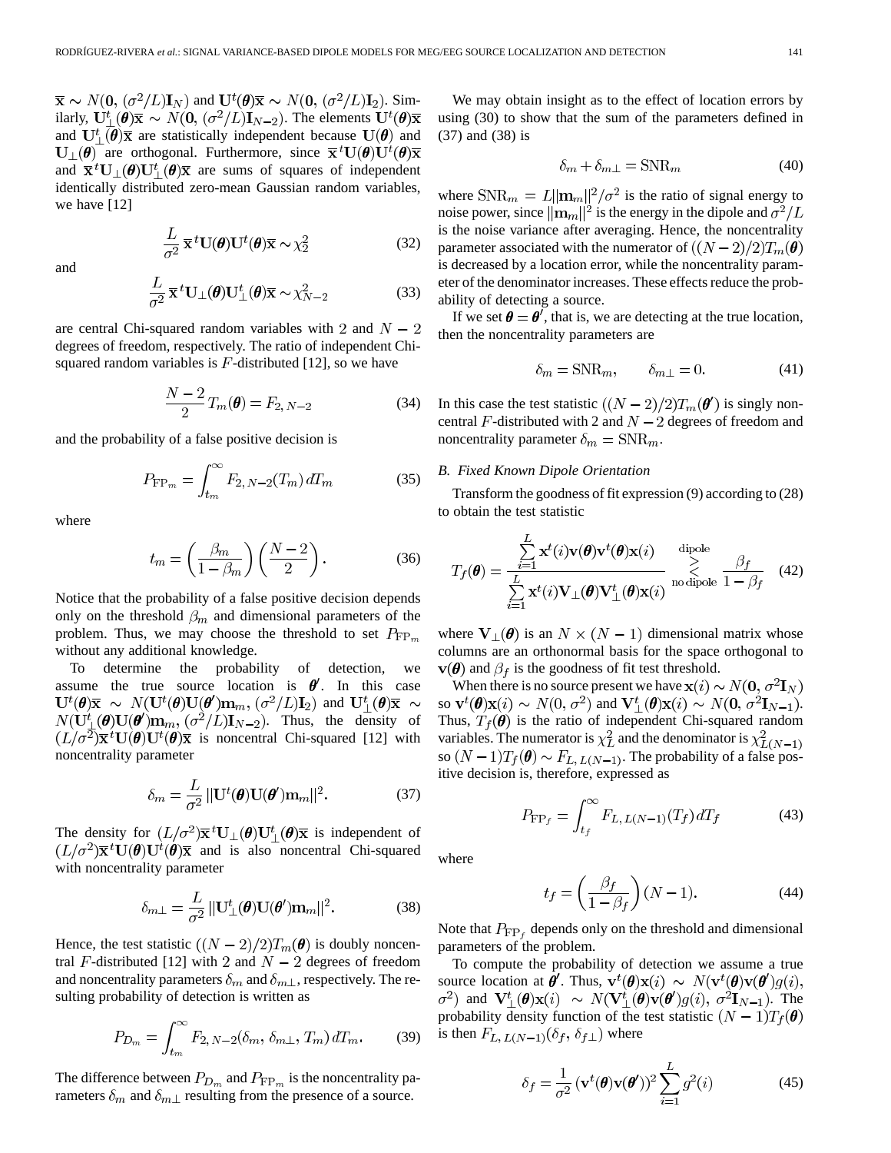$\overline{\mathbf{x}} \sim N(\mathbf{0}, (\sigma^2/L)\mathbf{I}_N)$  and  $\mathbf{U}^t(\theta)\overline{\mathbf{x}} \sim N(\mathbf{0}, (\sigma^2/L)\mathbf{I}_2)$ . Similarly,  $\mathbf{U}^t_{\perp}(\boldsymbol{\theta})\overline{\mathbf{x}} \sim N(\mathbf{0}, (\sigma^2/L)\mathbf{I}_{N-2})$ . The elements  $\mathbf{U}^t(\boldsymbol{\theta})\overline{\mathbf{x}}$ and  $\mathbf{U}^t_+(\vec{\theta})\overline{\mathbf{x}}$  are statistically independent because  $\mathbf{U}(\theta)$  and  $\mathbf{U}_{\perp}(\boldsymbol{\theta})$  are orthogonal. Furthermore, since  $\overline{\mathbf{x}}^t \mathbf{U}(\boldsymbol{\theta}) \mathbf{U}^t(\boldsymbol{\theta}) \overline{\mathbf{x}}$ and  $\overline{\mathbf{x}}^t \mathbf{U}_{\perp}(\boldsymbol{\theta}) \mathbf{U}_{\perp}^t(\boldsymbol{\theta}) \overline{\mathbf{x}}$  are sums of squares of independent identically distributed zero-mean Gaussian random variables, we have [12]

$$
\frac{L}{\sigma^2} \overline{\mathbf{x}}^t \mathbf{U}(\boldsymbol{\theta}) \mathbf{U}^t(\boldsymbol{\theta}) \overline{\mathbf{x}} \sim \chi^2_2 \tag{32}
$$

and

$$
\frac{L}{\sigma^2} \overline{\mathbf{x}}^t \mathbf{U}_{\perp}(\boldsymbol{\theta}) \mathbf{U}_{\perp}^t(\boldsymbol{\theta}) \overline{\mathbf{x}} \sim \chi_{N-2}^2 \tag{33}
$$

are central Chi-squared random variables with 2 and  $N-2$ degrees of freedom, respectively. The ratio of independent Chisquared random variables is  $F$ -distributed [12], so we have

$$
\frac{N-2}{2}T_m(\pmb{\theta}) = F_{2,N-2}
$$
 (34)

and the probability of a false positive decision is

$$
P_{\rm FP_m} = \int_{t_m}^{\infty} F_{2, \, N-2}(T_m) \, dT_m \tag{35}
$$

where

$$
t_m = \left(\frac{\beta_m}{1 - \beta_m}\right) \left(\frac{N - 2}{2}\right). \tag{36}
$$

Notice that the probability of a false positive decision depends only on the threshold  $\beta_m$  and dimensional parameters of the problem. Thus, we may choose the threshold to set  $P_{\rm FP_m}$ without any additional knowledge.

To determine the probability of detection, we assume the true source location is  $\theta'$ . In this case  $\mathbf{U}^t(\boldsymbol{\theta})\overline{\mathbf{x}} \sim N(\mathbf{U}^t(\boldsymbol{\theta})\mathbf{U}(\boldsymbol{\theta}')\mathbf{m}_m, (\sigma^2/L)\mathbf{I}_2)$  and  $\mathbf{U}^t_{\perp}(\boldsymbol{\theta})\overline{\mathbf{x}} \sim$  $N(\mathbf{U}^t_+(\boldsymbol{\theta})\mathbf{U}(\boldsymbol{\theta}')\mathbf{m}_m, (\sigma^2/L)\mathbf{I}_{N-2})$ . Thus, the density of  $(L/\sigma^2)\bar{\mathbf{x}}^t\mathbf{U}(\boldsymbol{\theta})\mathbf{U}^t(\boldsymbol{\theta})\bar{\mathbf{x}}$  is noncentral Chi-squared [12] with noncentrality parameter

$$
\delta_m = \frac{L}{\sigma^2} ||\mathbf{U}^t(\boldsymbol{\theta}) \mathbf{U}(\boldsymbol{\theta}') \mathbf{m}_m||^2.
$$
 (37)

The density for  $(L/\sigma^2)\mathbf{\bar{x}}^t\mathbf{U}_\perp(\boldsymbol{\theta})\mathbf{U}^t_\perp(\boldsymbol{\theta})\mathbf{\bar{x}}$  is independent of  $(L/\sigma^2)\bar{\mathbf{x}}^t\mathbf{U}(\boldsymbol{\theta})\mathbf{U}^t(\boldsymbol{\theta})\bar{\mathbf{x}}$  and is also noncentral Chi-squared with noncentrality parameter

$$
\delta_{m\perp} = \frac{L}{\sigma^2} ||\mathbf{U}^t_{\perp}(\boldsymbol{\theta}) \mathbf{U}(\boldsymbol{\theta}') \mathbf{m}_m||^2.
$$
 (38)

Hence, the test statistic  $((N-2)/2)T_m(\theta)$  is doubly noncentral F-distributed [12] with 2 and  $N-2$  degrees of freedom and noncentrality parameters  $\delta_m$  and  $\delta_{m\perp}$ , respectively. The resulting probability of detection is written as

$$
P_{D_m} = \int_{t_m}^{\infty} F_{2, N-2}(\delta_m, \delta_{m\perp}, T_m) dT_m.
$$
 (39)

The difference between  $P_{D_m}$  and  $P_{\mathrm{FP}_m}$  is the noncentrality parameters  $\delta_m$  and  $\delta_{m\perp}$  resulting from the presence of a source.

We may obtain insight as to the effect of location errors by using (30) to show that the sum of the parameters defined in (37) and (38) is

$$
\delta_m + \delta_{m\perp} = \text{SNR}_m \tag{40}
$$

where  $\text{SNR}_m = L ||\mathbf{m}_m||^2 / \sigma^2$  is the ratio of signal energy to noise power, since  $\|\mathbf{m}_m\|^2$  is the energy in the dipole and  $\sigma^2/L$ is the noise variance after averaging. Hence, the noncentrality parameter associated with the numerator of  $((N-2)/2)T_m(\theta)$ is decreased by a location error, while the noncentrality parameter of the denominator increases. These effects reduce the probability of detecting a source.

If we set  $\theta = \theta'$ , that is, we are detecting at the true location, then the noncentrality parameters are

$$
\delta_m = \text{SNR}_m, \qquad \delta_{m\perp} = 0. \tag{41}
$$

In this case the test statistic  $((N-2)/2)T_m(\theta')$  is singly noncentral F-distributed with 2 and  $N-2$  degrees of freedom and noncentrality parameter  $\delta_m = \text{SNR}_m$ .

## *B. Fixed Known Dipole Orientation*

Transform the goodness of fit expression (9) according to (28) to obtain the test statistic

$$
T_f(\theta) = \frac{\sum_{i=1}^{L} \mathbf{x}^t(i)\mathbf{v}(\theta)\mathbf{v}^t(\theta)\mathbf{x}(i)}{\sum_{i=1}^{L} \mathbf{x}^t(i)\mathbf{V}_{\perp}(\theta)\mathbf{V}_{\perp}^t(\theta)\mathbf{x}(i)} \sum_{\text{no dipole}}^{\text{dipole}} \frac{\beta_f}{1-\beta_f} \quad (42)
$$

where  $V_{\perp}(\theta)$  is an  $N \times (N-1)$  dimensional matrix whose columns are an orthonormal basis for the space orthogonal to  $\mathbf{v}(\boldsymbol{\theta})$  and  $\beta_f$  is the goodness of fit test threshold.

When there is no source present we have  $\mathbf{x}(i) \sim N(\mathbf{0}, \sigma^2 \mathbf{I}_N)$ so  $\mathbf{v}^t(\boldsymbol{\theta})\mathbf{x}(i) \sim N(0, \sigma^2)$  and  $\mathbf{V}^t(\boldsymbol{\theta})\mathbf{x}(i) \sim N(\mathbf{0}, \sigma^2\mathbf{I}_{N-1}).$ Thus,  $T_f(\theta)$  is the ratio of independent Chi-squared random variables. The numerator is  $\chi^2_L$  and the denominator is  $\chi^2_{L(N-1)}$ so  $(N-1)T_f(\theta) \sim F_{L, L(N-1)}$ . The probability of a false positive decision is, therefore, expressed as

$$
P_{\rm FP_f} = \int_{t_f}^{\infty} F_{L, L(N-1)}(T_f) \, dT_f \tag{43}
$$

where

$$
t_f = \left(\frac{\beta_f}{1 - \beta_f}\right)(N - 1). \tag{44}
$$

Note that  $P_{FP_f}$  depends only on the threshold and dimensional parameters of the problem.

To compute the probability of detection we assume a true source location at  $\boldsymbol{\theta}'$ . Thus,  $\mathbf{v}^t(\boldsymbol{\theta})\mathbf{x}(i) \sim N(\mathbf{v}^t(\boldsymbol{\theta})\mathbf{v}(\boldsymbol{\theta}')g(i),$  $\sigma^2$ ) and  $\mathbf{V}^t_{\perp}(\boldsymbol{\theta})\mathbf{x}(i) \sim N(\mathbf{V}^t_{\perp}(\boldsymbol{\theta})\mathbf{v}(\boldsymbol{\theta}')g(i), \sigma^2\mathbf{I}_{N-1})$ . The probability density function of the test statistic  $(N - 1)T_f(\theta)$ is then  $F_{L, L(N-1)}(\delta_f, \delta_{f\perp})$  where

$$
\delta_f = \frac{1}{\sigma^2} (\mathbf{v}^t(\pmb{\theta}) \mathbf{v}(\pmb{\theta}'))^2 \sum_{i=1}^L g^2(i)
$$
 (45)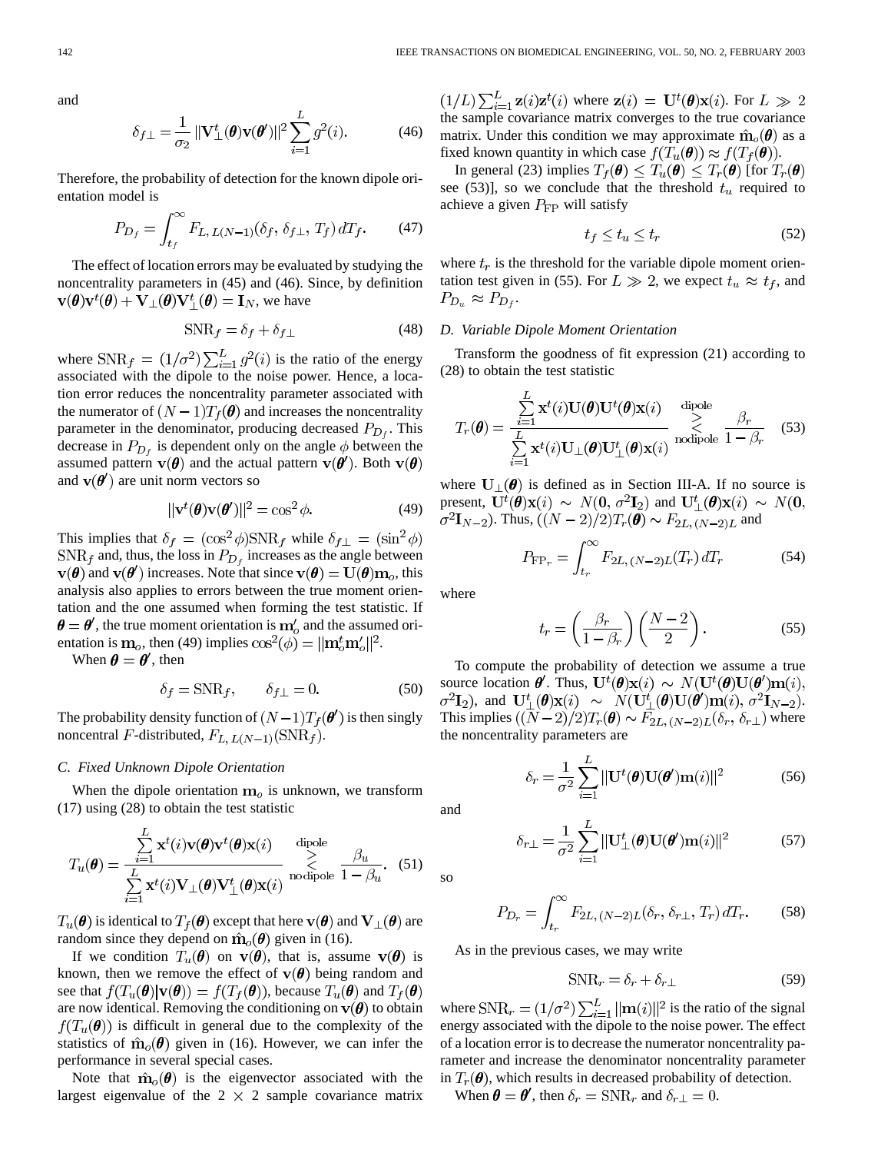and

$$
\delta_{f\perp} = \frac{1}{\sigma_2} \|\mathbf{V}^t_{\perp}(\boldsymbol{\theta})\mathbf{v}(\boldsymbol{\theta}')\|^2 \sum_{i=1}^L g^2(i). \tag{46}
$$

Therefore, the probability of detection for the known dipole orientation model is

$$
P_{D_f} = \int_{t_f}^{\infty} F_{L,\,L(N-1)}(\delta_f, \,\delta_{f\perp}, \,T_f) \, dT_f. \tag{47}
$$

The effect of location errors may be evaluated by studying the noncentrality parameters in (45) and (46). Since, by definition  $\mathbf{v}(\boldsymbol{\theta})\mathbf{v}^t(\boldsymbol{\theta}) + \mathbf{V}_{\perp}(\boldsymbol{\theta})\mathbf{V}_{\perp}^t(\boldsymbol{\theta}) = \mathbf{I}_N$ , we have

$$
SNR_f = \delta_f + \delta_{f\perp} \tag{48}
$$

where  $\text{SNR}_f = (1/\sigma^2) \sum_{i=1}^L g^2(i)$  is the ratio of the energy associated with the dipole to the noise power. Hence, a location error reduces the noncentrality parameter associated with the numerator of  $(N-1)T_f(\theta)$  and increases the noncentrality parameter in the denominator, producing decreased  $P_{D<sub>f</sub>}$ . This decrease in  $P_{D_f}$  is dependent only on the angle  $\phi$  between the assumed pattern  $\mathbf{v}(\theta)$  and the actual pattern  $\mathbf{v}(\theta')$ . Both  $\mathbf{v}(\theta)$ and  $\mathbf{v}(\boldsymbol{\theta}')$  are unit norm vectors so

$$
\|\mathbf{v}^t(\pmb{\theta})\mathbf{v}(\pmb{\theta}')\|^2 = \cos^2\phi.
$$
 (49)

This implies that  $\delta_f = (\cos^2 \phi) \text{SNR}_f$  while  $\delta_{f\perp} = (\sin^2 \phi)$  $SNR_f$  and, thus, the loss in  $P_{D_f}$  increases as the angle between  $\mathbf{v}(\boldsymbol{\theta})$  and  $\mathbf{v}(\boldsymbol{\theta}')$  increases. Note that since  $\mathbf{v}(\boldsymbol{\theta}) = \mathbf{U}(\boldsymbol{\theta})\mathbf{m}_o$ , this analysis also applies to errors between the true moment orientation and the one assumed when forming the test statistic. If  $\theta = \theta'$ , the true moment orientation is  $m'_o$  and the assumed orientation is  $\mathbf{m}_o$ , then (49) implies  $\cos^2(\phi) = ||\mathbf{m}_o^t \mathbf{m}_o'||^2$ .

When  $\theta = \theta'$ , then

$$
\delta_f = \text{SNR}_f, \qquad \delta_{f\perp} = 0. \tag{50}
$$

The probability density function of  $(N-1)T_f(\theta')$  is then singly noncentral F-distributed,  $F_{L, L(N-1)}(\text{SNR}_f)$ .

## *C. Fixed Unknown Dipole Orientation*

When the dipole orientation  $m<sub>o</sub>$  is unknown, we transform (17) using (28) to obtain the test statistic

$$
T_u(\boldsymbol{\theta}) = \frac{\sum_{i=1}^{L} \mathbf{x}^t(i) \mathbf{v}(\boldsymbol{\theta}) \mathbf{v}^t(\boldsymbol{\theta}) \mathbf{x}(i)}{\sum_{i=1}^{L} \mathbf{x}^t(i) \mathbf{V}_{\perp}(\boldsymbol{\theta}) \mathbf{V}_{\perp}^t(\boldsymbol{\theta}) \mathbf{x}(i)} \sum_{\text{no dipole}}^{\text{dipole}} \frac{\beta_u}{1 - \beta_u}.
$$
 (51)

 $T_u(\theta)$  is identical to  $T_f(\theta)$  except that here  $\mathbf{v}(\theta)$  and  $\mathbf{V}_{\perp}(\theta)$  are random since they depend on  $\hat{\mathbf{m}}_o(\theta)$  given in (16).

If we condition  $T_u(\theta)$  on  $\mathbf{v}(\theta)$ , that is, assume  $\mathbf{v}(\theta)$  is known, then we remove the effect of  $\mathbf{v}(\boldsymbol{\theta})$  being random and see that  $f(T_u(\theta)|\mathbf{v}(\theta)) = f(T_f(\theta))$ , because  $T_u(\theta)$  and  $T_f(\theta)$ are now identical. Removing the conditioning on  $\mathbf{v}(\boldsymbol{\theta})$  to obtain  $f(T_u(\theta))$  is difficult in general due to the complexity of the statistics of  $\hat{m}_{o}(\theta)$  given in (16). However, we can infer the performance in several special cases.

Note that  $\hat{m}_{o}(\theta)$  is the eigenvector associated with the largest eigenvalue of the  $2 \times 2$  sample covariance matrix  $(1/L)\sum_{i=1}^{L}\mathbf{z}(i)\mathbf{z}^{t}(i)$  where  $\mathbf{z}(i) = \mathbf{U}^{t}(\boldsymbol{\theta})\mathbf{x}(i)$ . For  $L \gg 2$ the sample covariance matrix converges to the true covariance matrix. Under this condition we may approximate  $\hat{\mathbf{m}}_o(\theta)$  as a fixed known quantity in which case  $f(T_u(\theta)) \approx f(T_f(\theta)).$ 

In general (23) implies  $T_f(\boldsymbol{\theta}) \leq T_u(\boldsymbol{\theta}) \leq T_r(\boldsymbol{\theta})$  [for  $T_r(\boldsymbol{\theta})$ see (53)], so we conclude that the threshold  $t<sub>u</sub>$  required to achieve a given  $P_{\text{FP}}$  will satisfy

$$
t_f \le t_u \le t_r \tag{52}
$$

where  $t_r$  is the threshold for the variable dipole moment orientation test given in (55). For  $L \gg 2$ , we expect  $t_u \approx t_f$ , and  $P_{D_u} \approx P_{D_f}.$ 

## *D. Variable Dipole Moment Orientation*

Transform the goodness of fit expression (21) according to (28) to obtain the test statistic

$$
T_r(\boldsymbol{\theta}) = \frac{\sum_{i=1}^{L} \mathbf{x}^t(i) \mathbf{U}(\boldsymbol{\theta}) \mathbf{U}^t(\boldsymbol{\theta}) \mathbf{x}(i)}{\sum_{i=1}^{L} \mathbf{x}^t(i) \mathbf{U}_{\perp}(\boldsymbol{\theta}) \mathbf{U}_{\perp}^t(\boldsymbol{\theta}) \mathbf{x}(i)} \sum_{\text{nodipole}}^{\text{dipole}} \frac{\beta_r}{1 - \beta_r}
$$
(53)

where  $\mathbf{U}_{\perp}(\boldsymbol{\theta})$  is defined as in Section III-A. If no source is present,  $\mathbf{U}^t(\boldsymbol{\theta})\mathbf{x}(i) \sim N(\mathbf{0}, \sigma^2\mathbf{I}_2)$  and  $\mathbf{U}^t(\boldsymbol{\theta})\mathbf{x}(i) \sim N(\mathbf{0},$  $\sigma^2 \mathbf{I}_{N-2}$ ). Thus,  $((N-2)/2)T_r(\boldsymbol{\theta}) \sim F_{2L, (N-2)L}$  and

$$
P_{\rm FP_r} = \int_{t_r}^{\infty} F_{2L,(N-2)L}(T_r) \, dT_r \tag{54}
$$

where

$$
t_r = \left(\frac{\beta_r}{1 - \beta_r}\right) \left(\frac{N - 2}{2}\right). \tag{55}
$$

To compute the probability of detection we assume a true source location  $\boldsymbol{\theta}'$ . Thus,  $\mathbf{U}^t(\boldsymbol{\theta})\mathbf{x}(i) \sim N(\mathbf{U}^t(\boldsymbol{\theta})\mathbf{U}(\boldsymbol{\theta}')\mathbf{m}(i)),$  $\sigma^2 \mathbf{I}_2$ ), and  $\mathbf{U}^t(\boldsymbol{\theta})\mathbf{x}(i) \sim N(\mathbf{U}^t(\boldsymbol{\theta})\mathbf{U}(\boldsymbol{\theta}')\mathbf{m}(i), \sigma^2 \mathbf{I}_{N-2}).$ This implies  $((N-2)/2)T_r(\theta) \sim F_{2L,(N-2)L}(\delta_r,\delta_{r\perp})$  where the noncentrality parameters are

$$
\delta_r = \frac{1}{\sigma^2} \sum_{i=1}^{L} ||\mathbf{U}^t(\boldsymbol{\theta}) \mathbf{U}(\boldsymbol{\theta}') \mathbf{m}(i)||^2
$$
 (56)

and

so

$$
\delta_{r\perp} = \frac{1}{\sigma^2} \sum_{i=1}^{L} ||\mathbf{U}^t_{\perp}(\boldsymbol{\theta}) \mathbf{U}(\boldsymbol{\theta}') \mathbf{m}(i)||^2 \tag{57}
$$

$$
P_{D_r} = \int_{t_r}^{\infty} F_{2L,(N-2)L}(\delta_r, \delta_{r\perp}, T_r) dT_r.
$$
 (58)

As in the previous cases, we may write

$$
SNR_r = \delta_r + \delta_{r\perp} \tag{59}
$$

where  $\text{SNR}_r = (1/\sigma^2) \sum_{i=1}^L ||\mathbf{m}(i)||^2$  is the ratio of the signal energy associated with the dipole to the noise power. The effect of a location error is to decrease the numerator noncentrality parameter and increase the denominator noncentrality parameter in  $T_r(\theta)$ , which results in decreased probability of detection.

When  $\boldsymbol{\theta} = \boldsymbol{\theta}'$ , then  $\delta_r = \text{SNR}_r$  and  $\delta_{r\perp} = 0$ .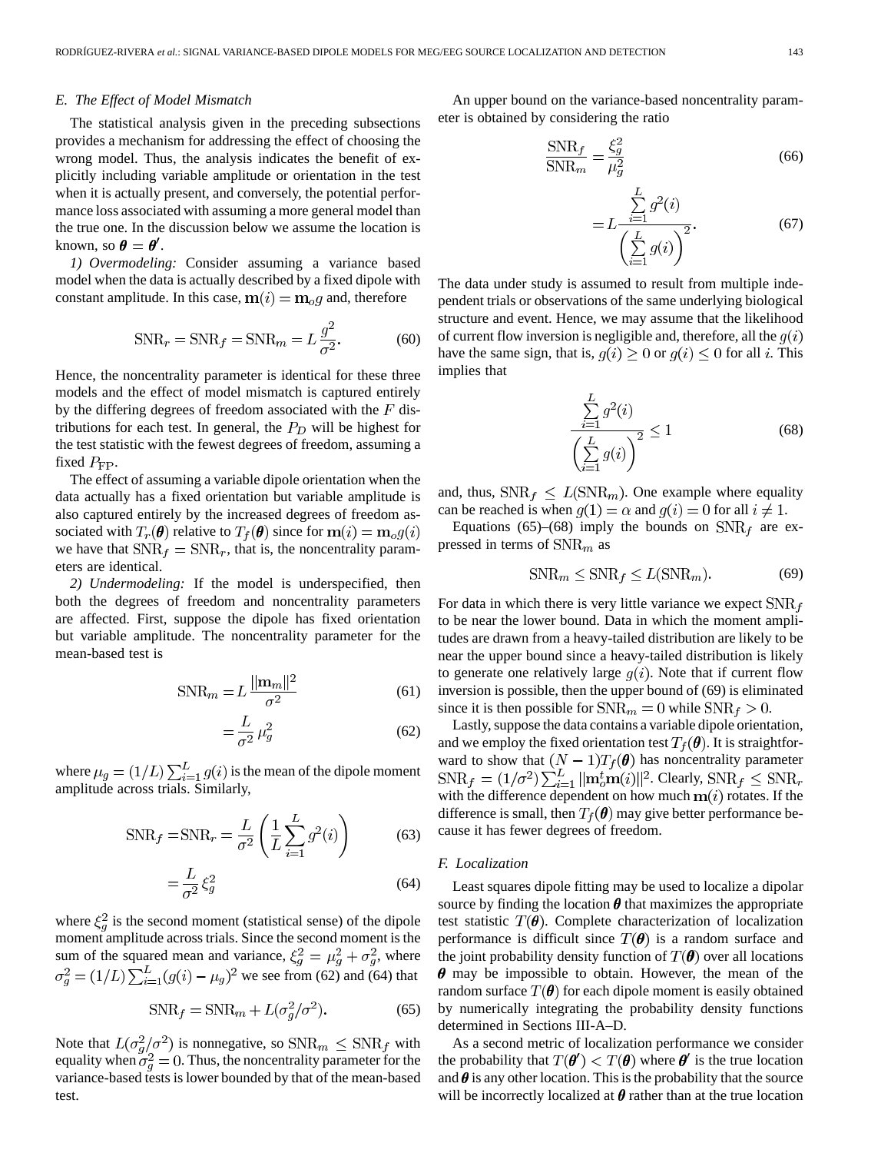#### *E. The Effect of Model Mismatch*

The statistical analysis given in the preceding subsections provides a mechanism for addressing the effect of choosing the wrong model. Thus, the analysis indicates the benefit of explicitly including variable amplitude or orientation in the test when it is actually present, and conversely, the potential performance loss associated with assuming a more general model than the true one. In the discussion below we assume the location is known, so  $\theta = \theta'$ .

*1) Overmodeling:* Consider assuming a variance based model when the data is actually described by a fixed dipole with constant amplitude. In this case,  $m(i) = m<sub>o</sub>g$  and, therefore

$$
SNR_r = SNR_f = SNR_m = L\frac{g^2}{\sigma^2}.
$$
 (60)

Hence, the noncentrality parameter is identical for these three models and the effect of model mismatch is captured entirely by the differing degrees of freedom associated with the  $F$  distributions for each test. In general, the  $P_D$  will be highest for the test statistic with the fewest degrees of freedom, assuming a fixed  $P_{\rm FP}$ .

The effect of assuming a variable dipole orientation when the data actually has a fixed orientation but variable amplitude is also captured entirely by the increased degrees of freedom associated with  $T_r(\theta)$  relative to  $T_f(\theta)$  since for  $m(i) = m_o g(i)$ we have that  $SNR_f = SNR_r$ , that is, the noncentrality parameters are identical.

*2) Undermodeling:* If the model is underspecified, then both the degrees of freedom and noncentrality parameters are affected. First, suppose the dipole has fixed orientation but variable amplitude. The noncentrality parameter for the mean-based test is

$$
\text{SNR}_m = L \frac{\|\mathbf{m}_m\|^2}{\sigma^2} \tag{61}
$$

$$
=\frac{L}{\sigma^2}\,\mu_g^2\tag{62}
$$

where  $\mu_g = (1/L) \sum_{i=1}^L g(i)$  is the mean of the dipole moment amplitude across trials. Similarly,

$$
\text{SNR}_f = \text{SNR}_r = \frac{L}{\sigma^2} \left( \frac{1}{L} \sum_{i=1}^L g^2(i) \right) \tag{63}
$$

$$
=\frac{L}{\sigma^2}\,\xi_g^2\tag{64}
$$

where  $\xi_q^2$  is the second moment (statistical sense) of the dipole moment amplitude across trials. Since the second moment is the sum of the squared mean and variance,  $\xi_a^2 = \mu_a^2 + \sigma_a^2$ , where we see from (62) and (64) that

$$
SNR_f = SNR_m + L(\sigma_g^2/\sigma^2). \tag{65}
$$

Note that  $L(\sigma_a^2/\sigma^2)$  is nonnegative, so  $\text{SNR}_m \leq \text{SNR}_f$  with equality when  $\sigma_a^2 = 0$ . Thus, the noncentrality parameter for the variance-based tests is lower bounded by that of the mean-based test.

An upper bound on the variance-based noncentrality parameter is obtained by considering the ratio

$$
\frac{\text{SNR}_f}{\text{SNR}_m} = \frac{\xi_g^2}{\mu_g^2} \tag{66}
$$

$$
=L\frac{\sum\limits_{i=1}^{L}g^{2}(i)}{\left(\sum\limits_{i=1}^{L}g(i)\right)^{2}}.\tag{67}
$$

The data under study is assumed to result from multiple independent trials or observations of the same underlying biological structure and event. Hence, we may assume that the likelihood of current flow inversion is negligible and, therefore, all the  $q(i)$ have the same sign, that is,  $g(i) \geq 0$  or  $g(i) \leq 0$  for all i. This implies that

$$
\frac{\sum_{i=1}^{L} g^2(i)}{\left(\sum_{i=1}^{L} g(i)\right)^2} \le 1\tag{68}
$$

and, thus,  $SNR_f \leq L(SNR_m)$ . One example where equality can be reached is when  $q(1) = \alpha$  and  $q(i) = 0$  for all  $i \neq 1$ .

Equations (65)–(68) imply the bounds on  $SNR<sub>f</sub>$  are expressed in terms of  $SNR_m$  as

$$
\text{SNR}_m \le \text{SNR}_f \le L(\text{SNR}_m). \tag{69}
$$

For data in which there is very little variance we expect  $SNR_f$ to be near the lower bound. Data in which the moment amplitudes are drawn from a heavy-tailed distribution are likely to be near the upper bound since a heavy-tailed distribution is likely to generate one relatively large  $q(i)$ . Note that if current flow inversion is possible, then the upper bound of (69) is eliminated since it is then possible for  $SNR_m = 0$  while  $SNR_f > 0$ .

Lastly, suppose the data contains a variable dipole orientation, and we employ the fixed orientation test  $T_f(\theta)$ . It is straightforward to show that  $(N-1)T_f(\theta)$  has noncentrality parameter . Clearly, with the difference dependent on how much  $\mathbf{m}(i)$  rotates. If the difference is small, then  $T_f(\theta)$  may give better performance because it has fewer degrees of freedom.

#### *F. Localization*

Least squares dipole fitting may be used to localize a dipolar source by finding the location  $\theta$  that maximizes the appropriate test statistic  $T(\theta)$ . Complete characterization of localization performance is difficult since  $T(\theta)$  is a random surface and the joint probability density function of  $T(\theta)$  over all locations  $\theta$  may be impossible to obtain. However, the mean of the random surface  $T(\theta)$  for each dipole moment is easily obtained by numerically integrating the probability density functions determined in Sections III-A–D.

As a second metric of localization performance we consider the probability that  $T(\theta') < T(\theta)$  where  $\theta'$  is the true location and  $\theta$  is any other location. This is the probability that the source will be incorrectly localized at  $\theta$  rather than at the true location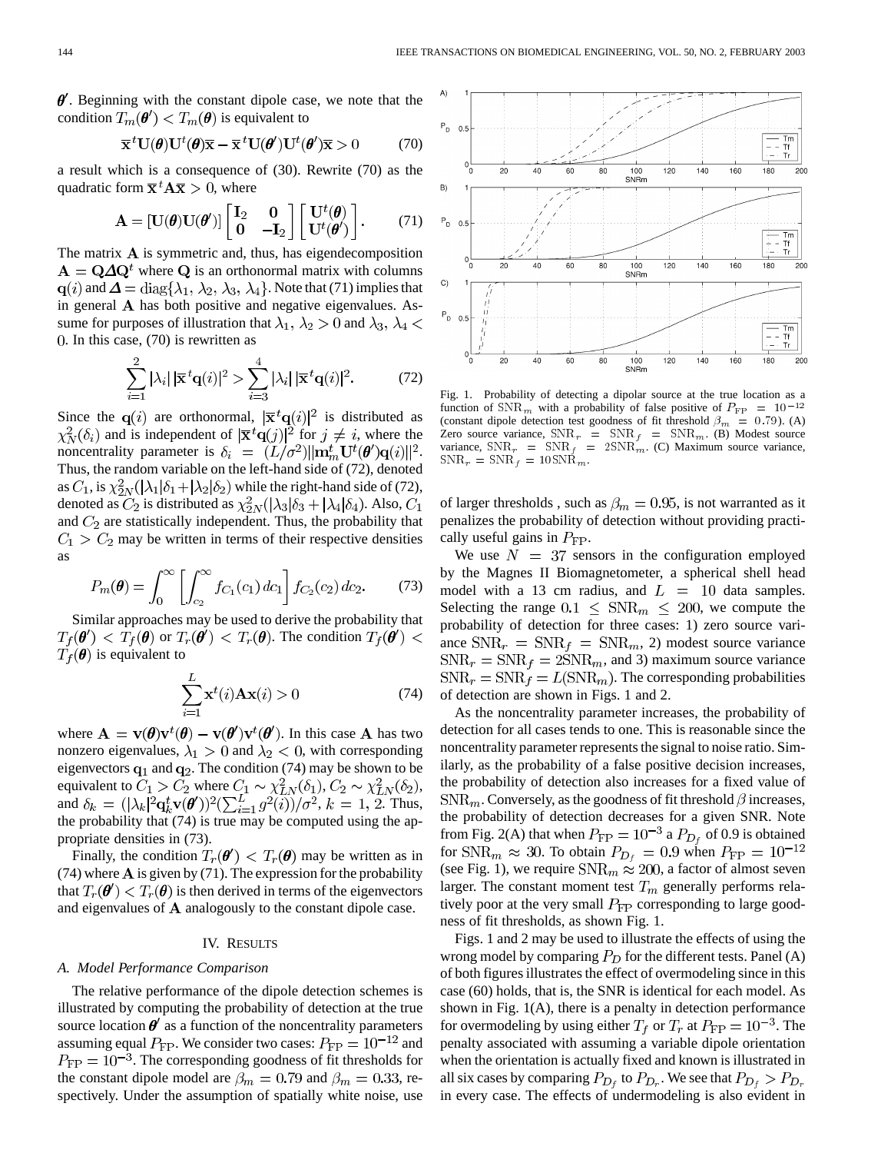$\theta'$ . Beginning with the constant dipole case, we note that the condition  $T_m(\theta') < T_m(\theta)$  is equivalent to

$$
\overline{\mathbf{x}}^t \mathbf{U}(\pmb{\theta}) \mathbf{U}^t(\pmb{\theta}) \overline{\mathbf{x}} - \overline{\mathbf{x}}^t \mathbf{U}(\pmb{\theta}') \mathbf{U}^t(\pmb{\theta}') \overline{\mathbf{x}} > 0 \tag{70}
$$

a result which is a consequence of (30). Rewrite (70) as the quadratic form  $\overline{\mathbf{x}}^t \mathbf{A} \overline{\mathbf{x}} > 0$ , where

$$
\mathbf{A} = [\mathbf{U}(\boldsymbol{\theta})\mathbf{U}(\boldsymbol{\theta}')] \begin{bmatrix} \mathbf{I}_2 & \mathbf{0} \\ \mathbf{0} & -\mathbf{I}_2 \end{bmatrix} \begin{bmatrix} \mathbf{U}^t(\boldsymbol{\theta}) \\ \mathbf{U}^t(\boldsymbol{\theta}^{\prime}) \end{bmatrix}.
$$
 (71)

The matrix  $\bf{A}$  is symmetric and, thus, has eigendecomposition  $A = Q \Delta Q^t$  where Q is an orthonormal matrix with columns  $\mathbf{q}(i)$  and  $\boldsymbol{\Delta} = \text{diag}\{\lambda_1, \lambda_2, \lambda_3, \lambda_4\}$ . Note that (71) implies that in general  $\bf{A}$  has both positive and negative eigenvalues. Assume for purposes of illustration that  $\lambda_1, \lambda_2 > 0$  and  $\lambda_3, \lambda_4 <$ . In this case, (70) is rewritten as

$$
\sum_{i=1}^{2} |\lambda_i| |\overline{\mathbf{x}}^t \mathbf{q}(i)|^2 > \sum_{i=3}^{4} |\lambda_i| |\overline{\mathbf{x}}^t \mathbf{q}(i)|^2.
$$
 (72)

Since the  $q(i)$  are orthonormal,  $|\overline{\mathbf{x}}^t q(i)|^2$  is distributed as  $\chi^2_N(\delta_i)$  and is independent of  $|\mathbf{\bar{x}}^t\mathbf{q}(j)|^2$  for  $j \neq i$ , where the noncentrality parameter is  $\delta_i = (L/\sigma^2) ||\mathbf{m}_m^t \mathbf{U}^t(\boldsymbol{\theta}') \mathbf{q}(i)||^2$ . Thus, the random variable on the left-hand side of (72), denoted as  $C_1$ , is  $\chi^2_{2N}(|\lambda_1|\delta_1+|\lambda_2|\delta_2)$  while the right-hand side of (72), denoted as  $C_2$  is distributed as  $\chi^2_{2N}(\vert \lambda_3 \vert \delta_3 + \vert \lambda_4 \vert \delta_4)$ . Also,  $C_1$ and  $C_2$  are statistically independent. Thus, the probability that  $C_1 > C_2$  may be written in terms of their respective densities as

$$
P_m(\theta) = \int_0^\infty \left[ \int_{c_2}^\infty f_{C_1}(c_1) \, dc_1 \right] f_{C_2}(c_2) \, dc_2. \tag{73}
$$

Similar approaches may be used to derive the probability that  $T_f(\theta') < T_f(\theta)$  or  $T_r(\theta') < T_r(\theta)$ . The condition  $T_f(\theta') <$  $T_f(\boldsymbol{\theta})$  is equivalent to

$$
\sum_{i=1}^{L} \mathbf{x}^t(i) \mathbf{A} \mathbf{x}(i) > 0 \tag{74}
$$

where  $\mathbf{A} = \mathbf{v}(\boldsymbol{\theta})\mathbf{v}^t(\boldsymbol{\theta}) - \mathbf{v}(\boldsymbol{\theta}')\mathbf{v}^t(\boldsymbol{\theta}')$ . In this case **A** has two nonzero eigenvalues,  $\lambda_1 > 0$  and  $\lambda_2 < 0$ , with corresponding eigenvectors  $q_1$  and  $q_2$ . The condition (74) may be shown to be equivalent to  $C_1 > C_2$  where  $C_1 \sim \chi^2_{LN}(\delta_1)$ ,  $C_2 \sim \chi^2_{LN}(\delta_2)$ , and  $\delta_k = (|\lambda_k|^2 \mathbf{q}_k^t \mathbf{v}(\boldsymbol{\theta}'))^2 (\sum_{i=1}^L g^2(i))/\sigma^2$ ,  $k = 1, 2$ . Thus, the probability that (74) is true may be computed using the appropriate densities in (73).

Finally, the condition  $T_r(\theta') < T_r(\theta)$  may be written as in (74) where  $\bf{A}$  is given by (71). The expression for the probability that  $T_r(\theta') < T_r(\theta)$  is then derived in terms of the eigenvectors and eigenvalues of  $A$  analogously to the constant dipole case.

#### IV. RESULTS

## *A. Model Performance Comparison*

The relative performance of the dipole detection schemes is illustrated by computing the probability of detection at the true source location  $\theta'$  as a function of the noncentrality parameters assuming equal  $P_{\text{FP}}$ . We consider two cases:  $P_{\text{FP}} = 10^{-12}$  and  $P_{\rm FP} = 10^{-3}$ . The corresponding goodness of fit thresholds for the constant dipole model are  $\beta_m = 0.79$  and  $\beta_m = 0.33$ , respectively. Under the assumption of spatially white noise, use



Fig. 1. Probability of detecting a dipolar source at the true location as a function of  $SNR_m$  with a probability of false positive of  $P_{FP} = 10^{-12}$ (constant dipole detection test goodness of fit threshold  $\beta_m = 0.79$ ). (A) Zero source variance,  $SNR_r = SNR_f = SNR_m$ . (B) Modest source variance,  $SNR_r = SNR_f = 2SNR_m$ . (C) Maximum source variance,  $SNR_r = SNR_f = 10SNR_m$ .

of larger thresholds, such as  $\beta_m = 0.95$ , is not warranted as it penalizes the probability of detection without providing practically useful gains in  $P_{\text{FP}}$ .

We use  $N = 37$  sensors in the configuration employed by the Magnes II Biomagnetometer, a spherical shell head model with a 13 cm radius, and  $L = 10$  data samples. Selecting the range  $0.1 \leq \text{SNR}_m \leq 200$ , we compute the probability of detection for three cases: 1) zero source variance  $SNR_r = SNR_f = SNR_m$ , 2) modest source variance  $SNR_r = SNR_f = 2SNR_m$ , and 3) maximum source variance  $SNR_r = SNR_f = L(SNR_m)$ . The corresponding probabilities of detection are shown in Figs. 1 and 2.

As the noncentrality parameter increases, the probability of detection for all cases tends to one. This is reasonable since the noncentrality parameter represents the signal to noise ratio. Similarly, as the probability of a false positive decision increases, the probability of detection also increases for a fixed value of  $\text{SNR}_m$ . Conversely, as the goodness of fit threshold  $\beta$  increases, the probability of detection decreases for a given SNR. Note from Fig. 2(A) that when  $P_{\text{FP}} = 10^{-3}$  a  $P_{D_f}$  of 0.9 is obtained for SNR<sub>m</sub>  $\approx$  30. To obtain  $P_{D_f} = 0.9$  when  $P_{FP} = 10^{-12}$ (see Fig. 1), we require  ${\rm SNR}_{m}\approx 200,$  a factor of almost seven larger. The constant moment test  $T_m$  generally performs relatively poor at the very small  $P_{\text{FP}}$  corresponding to large goodness of fit thresholds, as shown Fig. 1.

Figs. 1 and 2 may be used to illustrate the effects of using the wrong model by comparing  $P_D$  for the different tests. Panel (A) of both figures illustrates the effect of overmodeling since in this case (60) holds, that is, the SNR is identical for each model. As shown in Fig. 1(A), there is a penalty in detection performance for overmodeling by using either  $T_f$  or  $T_r$  at  $P_{FP} = 10^{-3}$ . The penalty associated with assuming a variable dipole orientation when the orientation is actually fixed and known is illustrated in all six cases by comparing  $P_{D_f}$  to  $P_{D_r}$ . We see that  $P_{D_f} > P_{D_r}$ in every case. The effects of undermodeling is also evident in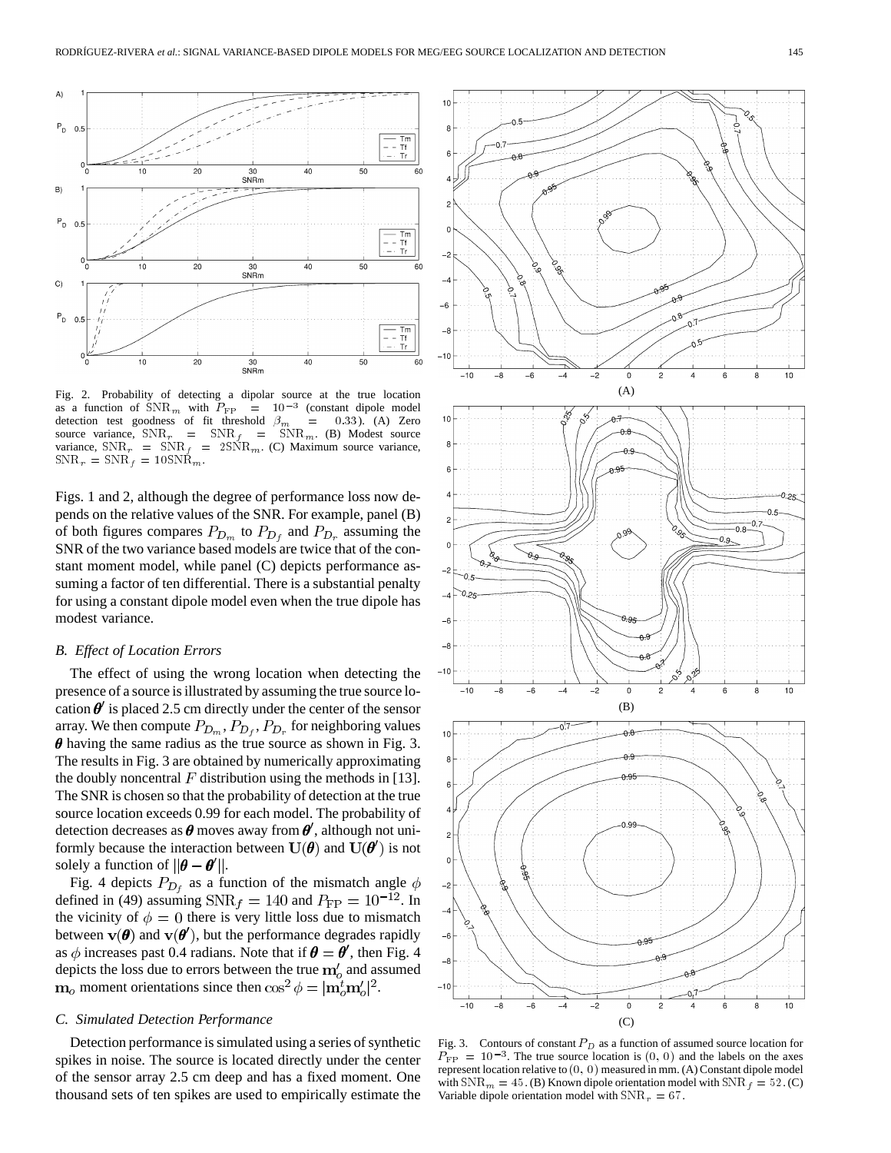

Fig. 2. Probability of detecting a dipolar source at the true location as a function of  $SNR_m$  with  $P_{FP} = 10^{-3}$  (constant dipole model detection test goodness of fit threshold  $\beta_m = 0.33$ ). (A) Zero detection test goodness of fit threshold  $\beta_m$  = 0.33). (A) Zero source variance,  $SNR_r = SNR_f = SNR_m$ . (B) Modest source variance,  $SNR_r = SNR_f = 2SNR_m$ . (C) Maximum source variance,  $SNR_r = SNR_f = 10SNR_m$ .

Figs. 1 and 2, although the degree of performance loss now depends on the relative values of the SNR. For example, panel (B) of both figures compares  $P_{D_m}$  to  $P_{D_f}$  and  $P_{D_r}$  assuming the SNR of the two variance based models are twice that of the constant moment model, while panel (C) depicts performance assuming a factor of ten differential. There is a substantial penalty for using a constant dipole model even when the true dipole has modest variance.

## *B. Effect of Location Errors*

The effect of using the wrong location when detecting the presence of a source is illustrated by assuming the true source location  $\theta'$  is placed 2.5 cm directly under the center of the sensor array. We then compute  $P_{D_m}$ ,  $P_{D_f}$ ,  $P_{D_r}$  for neighboring values  $\theta$  having the same radius as the true source as shown in Fig. 3. The results in Fig. 3 are obtained by numerically approximating the doubly noncentral  $F$  distribution using the methods in [13]. The SNR is chosen so that the probability of detection at the true source location exceeds 0.99 for each model. The probability of detection decreases as  $\theta$  moves away from  $\theta'$ , although not uniformly because the interaction between  $U(\theta)$  and  $U(\theta')$  is not solely a function of  $||\boldsymbol{\theta} - \boldsymbol{\theta}'||$ .

Fig. 4 depicts  $P_{D_f}$  as a function of the mismatch angle  $\phi$ defined in (49) assuming  $SNR_f = 140$  and  $P_{FP} = 10^{-12}$ . In the vicinity of  $\phi = 0$  there is very little loss due to mismatch between  $\mathbf{v}(\boldsymbol{\theta})$  and  $\mathbf{v}(\boldsymbol{\theta}')$ , but the performance degrades rapidly as  $\phi$  increases past 0.4 radians. Note that if  $\theta = \theta'$ , then Fig. 4 depicts the loss due to errors between the true  $m'_{o}$  and assumed  $\mathbf{m}_o$  moment orientations since then  $\cos^2 \phi = |\mathbf{m}_o^t \mathbf{m}_o^t|^2$ .

#### *C. Simulated Detection Performance*

Detection performance is simulated using a series of synthetic spikes in noise. The source is located directly under the center of the sensor array 2.5 cm deep and has a fixed moment. One thousand sets of ten spikes are used to empirically estimate the



Fig. 3. Contours of constant  $P_D$  as a function of assumed source location for  $P_{\rm FP} = 10^{-3}$ . The true source location is (0, 0) and the labels on the axes represent location relative to (0; 0) measured in mm. (A) Constant dipole model with  $SNR_m = 45$ . (B) Known dipole orientation model with  $SNR_f = 52$ . (C) Variable dipole orientation model with  $SNR_r = 67$ .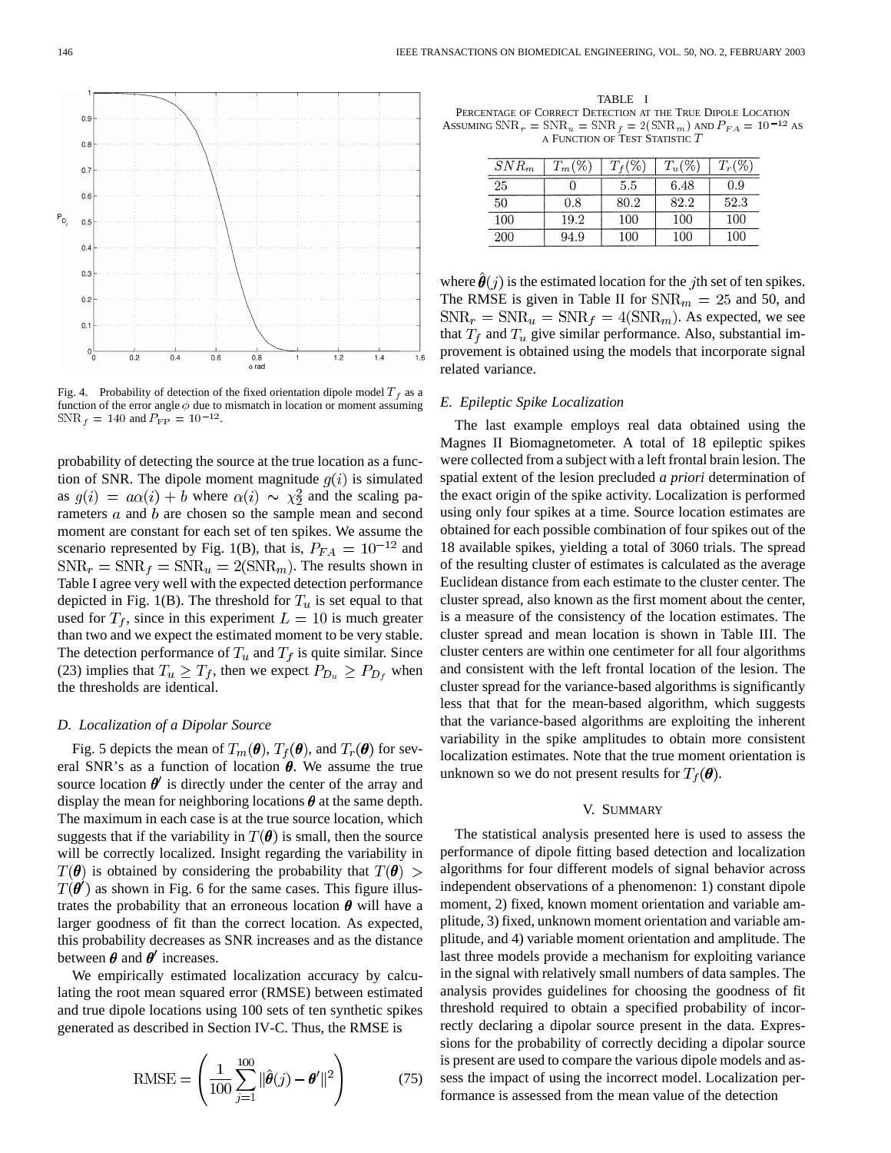Fig. 4. Probability of detection of the fixed orientation dipole model  $T_f$  as a function of the error angle  $\phi$  due to mismatch in location or moment assuming  $SNR_f = 140$  and  $P_{FP} = 10^{-12}$ .

probability of detecting the source at the true location as a function of SNR. The dipole moment magnitude  $q(i)$  is simulated as  $g(i) = a\alpha(i) + b$  where  $\alpha(i) \sim \chi_2^2$  and the scaling parameters  $a$  and  $b$  are chosen so the sample mean and second moment are constant for each set of ten spikes. We assume the scenario represented by Fig. 1(B), that is,  $P_{FA} = 10^{-12}$  and  $SNR_r = SNR_f = SNR_u = 2(SNR_m)$ . The results shown in Table I agree very well with the expected detection performance depicted in Fig. 1(B). The threshold for  $T_u$  is set equal to that used for  $T_f$ , since in this experiment  $L = 10$  is much greater than two and we expect the estimated moment to be very stable. The detection performance of  $T_u$  and  $T_f$  is quite similar. Since (23) implies that  $T_u \geq T_f$ , then we expect  $P_{D_u} \geq P_{D_f}$  when the thresholds are identical.

### *D. Localization of a Dipolar Source*

Fig. 5 depicts the mean of  $T_m(\boldsymbol{\theta})$ ,  $T_f(\boldsymbol{\theta})$ , and  $T_r(\boldsymbol{\theta})$  for several SNR's as a function of location  $\theta$ . We assume the true source location  $\theta'$  is directly under the center of the array and display the mean for neighboring locations  $\theta$  at the same depth. The maximum in each case is at the true source location, which suggests that if the variability in  $T(\theta)$  is small, then the source will be correctly localized. Insight regarding the variability in  $T(\theta)$  is obtained by considering the probability that  $T(\theta)$  $T(\theta')$  as shown in Fig. 6 for the same cases. This figure illustrates the probability that an erroneous location  $\theta$  will have a larger goodness of fit than the correct location. As expected, this probability decreases as SNR increases and as the distance between  $\theta$  and  $\theta'$  increases.

We empirically estimated localization accuracy by calculating the root mean squared error (RMSE) between estimated and true dipole locations using 100 sets of ten synthetic spikes generated as described in Section IV-C. Thus, the RMSE is

$$
\text{RMSE} = \left(\frac{1}{100} \sum_{j=1}^{100} ||\hat{\boldsymbol{\theta}}(j) - \boldsymbol{\theta}'||^2\right) \tag{75}
$$

TABLE I PERCENTAGE OF CORRECT DETECTION AT THE TRUE DIPOLE LOCATION ASSUMING  $SNR_r = SNR_u = SNR_f = 2(SNR_m)$  and  $P_{FA} = 10^{-12}$  as A FUNCTION OF TEST STATISTIC  $\cal{T}$ 

| $SNR_m$ | $T_m(\%)$ | $T_{\rm f}(\%)$ | $T_u(\%)$ |      |
|---------|-----------|-----------------|-----------|------|
| 25      |           | 5.5             | 6.48      | 0.9  |
| 50      | 0.8       | 80.2            | 82.2      | 52.3 |
| 100     | 19.2      | 100             | 100       | 100  |
| 200     | 94.9      | 100             | 100       | 100  |

where  $\hat{\theta}(j)$  is the estimated location for the jth set of ten spikes. The RMSE is given in Table II for  $SNR_m = 25$  and 50, and  $SNR_r = SNR_u = SNR_f = 4(SNR_m)$ . As expected, we see that  $T_f$  and  $T_u$  give similar performance. Also, substantial improvement is obtained using the models that incorporate signal related variance.

#### *E. Epileptic Spike Localization*

The last example employs real data obtained using the Magnes II Biomagnetometer. A total of 18 epileptic spikes were collected from a subject with a left frontal brain lesion. The spatial extent of the lesion precluded *a priori* determination of the exact origin of the spike activity. Localization is performed using only four spikes at a time. Source location estimates are obtained for each possible combination of four spikes out of the 18 available spikes, yielding a total of 3060 trials. The spread of the resulting cluster of estimates is calculated as the average Euclidean distance from each estimate to the cluster center. The cluster spread, also known as the first moment about the center, is a measure of the consistency of the location estimates. The cluster spread and mean location is shown in Table III. The cluster centers are within one centimeter for all four algorithms and consistent with the left frontal location of the lesion. The cluster spread for the variance-based algorithms is significantly less that that for the mean-based algorithm, which suggests that the variance-based algorithms are exploiting the inherent variability in the spike amplitudes to obtain more consistent localization estimates. Note that the true moment orientation is unknown so we do not present results for  $T_f(\theta)$ .

## V. SUMMARY

The statistical analysis presented here is used to assess the performance of dipole fitting based detection and localization algorithms for four different models of signal behavior across independent observations of a phenomenon: 1) constant dipole moment, 2) fixed, known moment orientation and variable amplitude, 3) fixed, unknown moment orientation and variable amplitude, and 4) variable moment orientation and amplitude. The last three models provide a mechanism for exploiting variance in the signal with relatively small numbers of data samples. The analysis provides guidelines for choosing the goodness of fit threshold required to obtain a specified probability of incorrectly declaring a dipolar source present in the data. Expressions for the probability of correctly deciding a dipolar source is present are used to compare the various dipole models and assess the impact of using the incorrect model. Localization performance is assessed from the mean value of the detection

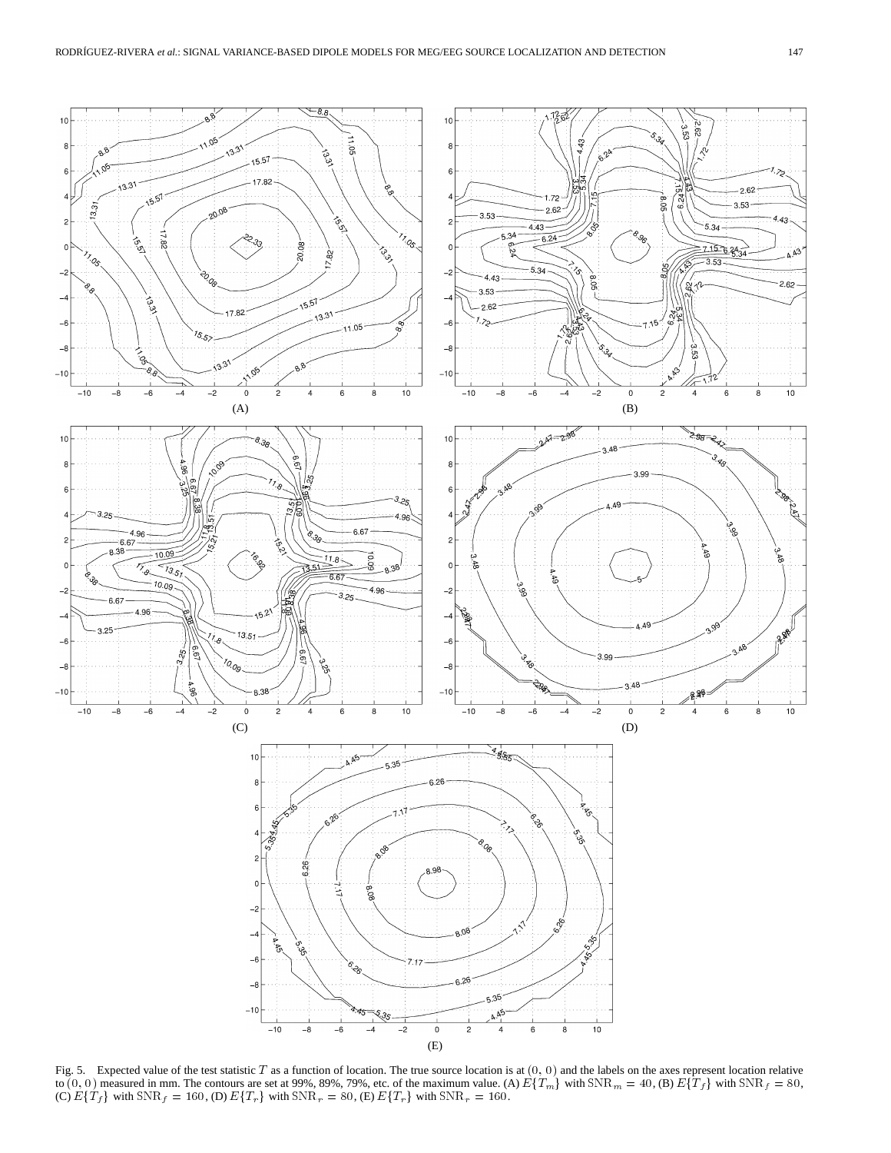

Fig. 5. Expected value of the test statistic T as a function of location. The true source location is at  $(0, 0)$  and the labels on the axes represent location relative to (0, 0) measured in mm. The contours are set at 99%, 89%, 79%, etc. of the maximum value. (A)  $E\{T_m\}$  with  $SNR_m = 40$ , (B)  $E\{T_f\}$  with  $SNR_f = 80$ , (C)  $E\{\hat{T}_f\}$  with  $SNR_f = 160$ , (D)  $E\{T_r\}$  with  $SNR_r = 80$ , (E)  $E\{T_r\}$  with  $SNR_r = 160$ .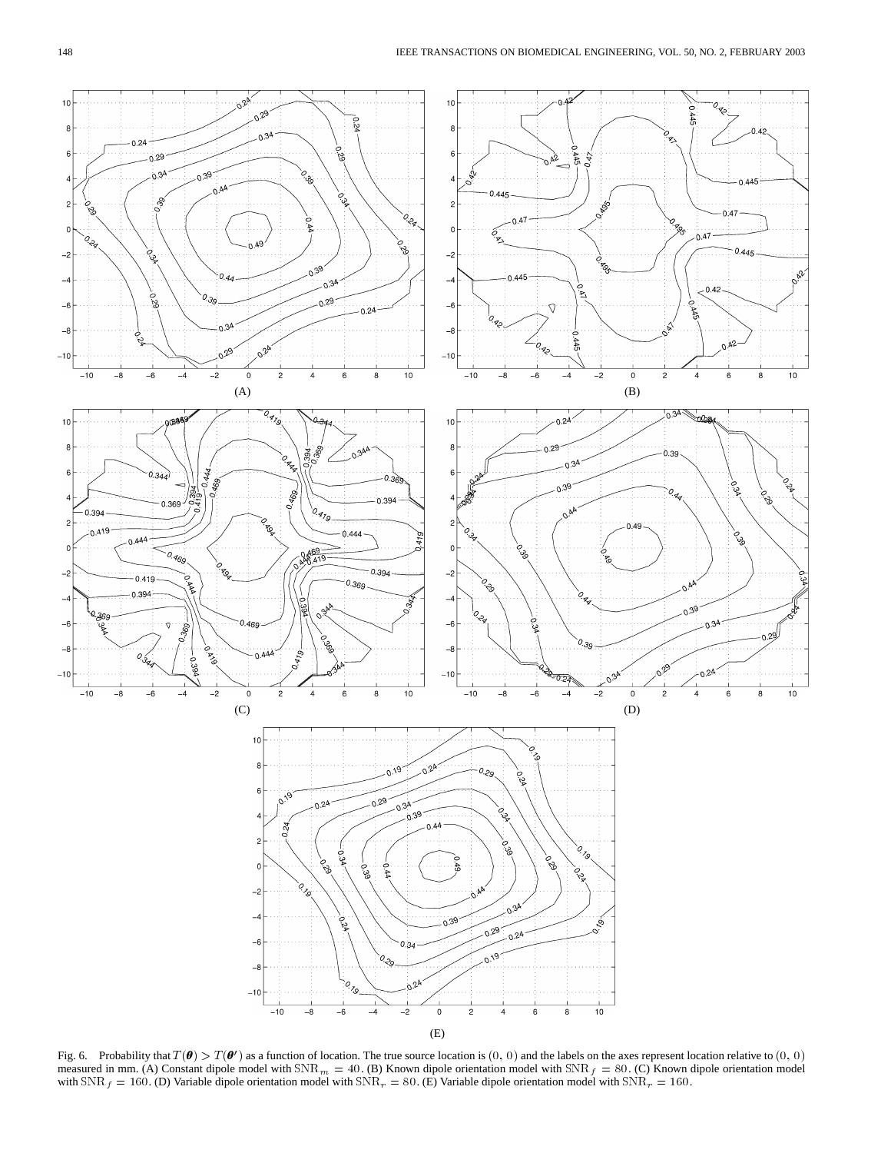

Fig. 6. Probability that  $T(\theta) > T(\theta')$  as a function of location. The true source location is  $(0, 0)$  and the labels on the axes represent location relative to  $(0, 0)$ measured in mm. (A) Constant dipole model with  $SNR_m = 40$ . (B) Known dipole orientation model with  $SNR_f = 80$ . (C) Known dipole orientation model with SNR  $_f = 160$ . (D) Variable dipole orientation model with SNR  $_r = 80$ . (E) Variable dipole orientation model with SNR  $_r = 160$ .